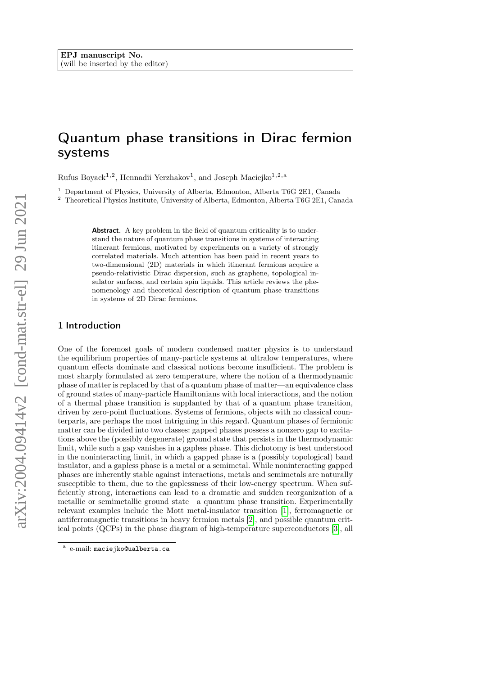# Quantum phase transitions in Dirac fermion systems

Rufus Boyack<sup>1,2</sup>, Hennadii Yerzhakov<sup>1</sup>, and Joseph Maciejko<sup>1,2,a</sup>

<sup>1</sup> Department of Physics, University of Alberta, Edmonton, Alberta T6G 2E1, Canada

<sup>2</sup> Theoretical Physics Institute, University of Alberta, Edmonton, Alberta T6G 2E1, Canada

Abstract. A key problem in the field of quantum criticality is to understand the nature of quantum phase transitions in systems of interacting itinerant fermions, motivated by experiments on a variety of strongly correlated materials. Much attention has been paid in recent years to two-dimensional (2D) materials in which itinerant fermions acquire a pseudo-relativistic Dirac dispersion, such as graphene, topological insulator surfaces, and certain spin liquids. This article reviews the phenomenology and theoretical description of quantum phase transitions in systems of 2D Dirac fermions.

## 1 Introduction

One of the foremost goals of modern condensed matter physics is to understand the equilibrium properties of many-particle systems at ultralow temperatures, where quantum effects dominate and classical notions become insufficient. The problem is most sharply formulated at zero temperature, where the notion of a thermodynamic phase of matter is replaced by that of a quantum phase of matter—an equivalence class of ground states of many-particle Hamiltonians with local interactions, and the notion of a thermal phase transition is supplanted by that of a quantum phase transition, driven by zero-point fluctuations. Systems of fermions, objects with no classical counterparts, are perhaps the most intriguing in this regard. Quantum phases of fermionic matter can be divided into two classes: gapped phases possess a nonzero gap to excitations above the (possibly degenerate) ground state that persists in the thermodynamic limit, while such a gap vanishes in a gapless phase. This dichotomy is best understood in the noninteracting limit, in which a gapped phase is a (possibly topological) band insulator, and a gapless phase is a metal or a semimetal. While noninteracting gapped phases are inherently stable against interactions, metals and semimetals are naturally susceptible to them, due to the gaplessness of their low-energy spectrum. When sufficiently strong, interactions can lead to a dramatic and sudden reorganization of a metallic or semimetallic ground state—a quantum phase transition. Experimentally relevant examples include the Mott metal-insulator transition [\[1\]](#page-15-0), ferromagnetic or antiferromagnetic transitions in heavy fermion metals [\[2\]](#page-15-1), and possible quantum critical points (QCPs) in the phase diagram of high-temperature superconductors [\[3\]](#page-15-2), all

a e-mail: maciejko@ualberta.ca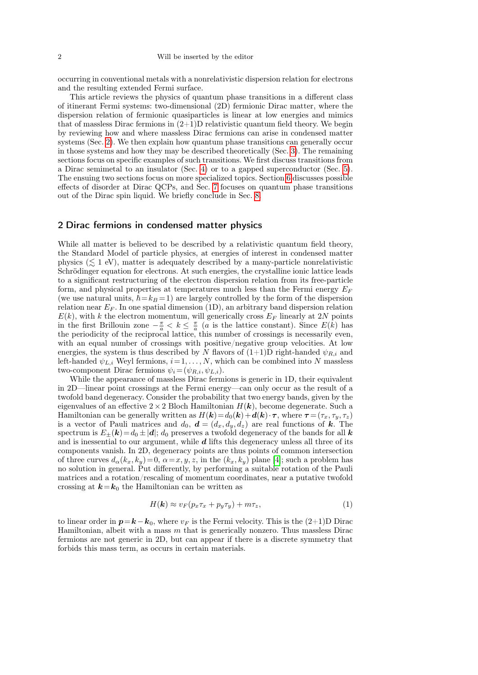occurring in conventional metals with a nonrelativistic dispersion relation for electrons and the resulting extended Fermi surface.

This article reviews the physics of quantum phase transitions in a different class of itinerant Fermi systems: two-dimensional (2D) fermionic Dirac matter, where the dispersion relation of fermionic quasiparticles is linear at low energies and mimics that of massless Dirac fermions in  $(2+1)D$  relativistic quantum field theory. We begin by reviewing how and where massless Dirac fermions can arise in condensed matter systems (Sec. [2\)](#page-1-0). We then explain how quantum phase transitions can generally occur in those systems and how they may be described theoretically (Sec. [3\)](#page-3-0). The remaining sections focus on specific examples of such transitions. We first discuss transitions from a Dirac semimetal to an insulator (Sec. [4\)](#page-5-0) or to a gapped superconductor (Sec. [5\)](#page-8-0). The ensuing two sections focus on more specialized topics. Section [6](#page-10-0) discusses possible effects of disorder at Dirac QCPs, and Sec. [7](#page-12-0) focuses on quantum phase transitions out of the Dirac spin liquid. We briefly conclude in Sec. [8.](#page-14-0)

## <span id="page-1-0"></span>2 Dirac fermions in condensed matter physics

While all matter is believed to be described by a relativistic quantum field theory, the Standard Model of particle physics, at energies of interest in condensed matter physics ( $\leq 1$  eV), matter is adequately described by a many-particle nonrelativistic Schrödinger equation for electrons. At such energies, the crystalline ionic lattice leads to a significant restructuring of the electron dispersion relation from its free-particle form, and physical properties at temperatures much less than the Fermi energy  $E_F$ (we use natural units,  $\hbar = k_B = 1$ ) are largely controlled by the form of the dispersion relation near  $E_F$ . In one spatial dimension (1D), an arbitrary band dispersion relation  $E(k)$ , with k the electron momentum, will generically cross  $E_F$  linearly at 2N points in the first Brillouin zone  $-\frac{\pi}{a} < k \leq \frac{\pi}{a}$  (*a* is the lattice constant). Since  $E(k)$  has the periodicity of the reciprocal lattice, this number of crossings is necessarily even, with an equal number of crossings with positive/negative group velocities. At low energies, the system is thus described by N flavors of  $(1+1)D$  right-handed  $\psi_{R,i}$  and left-handed  $\psi_{L,i}$  Weyl fermions,  $i=1,\ldots,N$ , which can be combined into N massless two-component Dirac fermions  $\psi_i = (\psi_{R,i}, \psi_{L,i}).$ 

While the appearance of massless Dirac fermions is generic in 1D, their equivalent in 2D—linear point crossings at the Fermi energy—can only occur as the result of a twofold band degeneracy. Consider the probability that two energy bands, given by the eigenvalues of an effective  $2 \times 2$  Bloch Hamiltonian  $H(k)$ , become degenerate. Such a Hamiltonian can be generally written as  $H(\mathbf{k})=d_0(\mathbf{k})+d(\mathbf{k})\cdot\boldsymbol{\tau}$ , where  $\boldsymbol{\tau} = (\tau_x, \tau_y, \tau_z)$ is a vector of Pauli matrices and  $d_0$ ,  $\mathbf{d} = (d_x, d_y, d_z)$  are real functions of k. The spectrum is  $E_{\pm}(\mathbf{k})=d_0 \pm |\mathbf{d}|; d_0$  preserves a twofold degeneracy of the bands for all  $\mathbf{k}$ and is inessential to our argument, while  $d$  lifts this degeneracy unless all three of its components vanish. In 2D, degeneracy points are thus points of common intersection of three curves  $d_{\alpha}(k_x, k_y)=0$ ,  $\alpha=x, y, z$ , in the  $(k_x, k_y)$  plane [\[4\]](#page-15-3); such a problem has no solution in general. Put differently, by performing a suitable rotation of the Pauli matrices and a rotation/rescaling of momentum coordinates, near a putative twofold crossing at  $k=k_0$  the Hamiltonian can be written as

<span id="page-1-1"></span>
$$
H(\mathbf{k}) \approx v_F (p_x \tau_x + p_y \tau_y) + m \tau_z, \tag{1}
$$

to linear order in  $p=k-k_0$ , where  $v_F$  is the Fermi velocity. This is the (2+1)D Dirac Hamiltonian, albeit with a mass  $m$  that is generically nonzero. Thus massless Dirac fermions are not generic in 2D, but can appear if there is a discrete symmetry that forbids this mass term, as occurs in certain materials.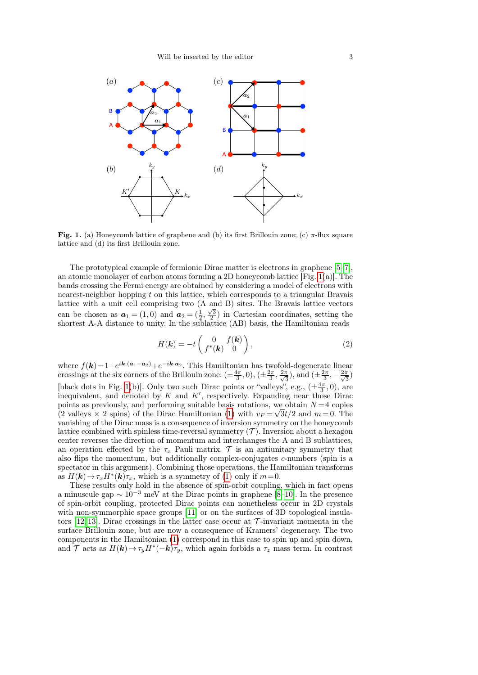

<span id="page-2-0"></span>Fig. 1. (a) Honeycomb lattice of graphene and (b) its first Brillouin zone; (c)  $\pi$ -flux square lattice and (d) its first Brillouin zone.

The prototypical example of fermionic Dirac matter is electrons in graphene [\[5–](#page-15-4)[7\]](#page-15-5), an atomic monolayer of carbon atoms forming a 2D honeycomb lattice  $[Fig, 1(a)]$  $[Fig, 1(a)]$  $[Fig, 1(a)]$ . The bands crossing the Fermi energy are obtained by considering a model of electrons with nearest-neighbor hopping t on this lattice, which corresponds to a triangular Bravais lattice with a unit cell comprising two (A and B) sites. The Bravais lattice vectors can be chosen as  $a_1 = (1,0)$  and  $a_2 = (\frac{1}{2}, \frac{\sqrt{3}}{2})$  in Cartesian coordinates, setting the shortest A-A distance to unity. In the sublattice (AB) basis, the Hamiltonian reads

<span id="page-2-1"></span>
$$
H(\mathbf{k}) = -t \begin{pmatrix} 0 & f(\mathbf{k}) \\ f^*(\mathbf{k}) & 0 \end{pmatrix}, \tag{2}
$$

where  $f(\mathbf{k}) = 1 + e^{i\mathbf{k} \cdot (\mathbf{a}_1 - \mathbf{a}_2)} + e^{-i\mathbf{k} \cdot \mathbf{a}_2}$ . This Hamiltonian has twofold-degenerate linear crossings at the six corners of the Brillouin zone:  $(\pm \frac{4\pi}{3}, 0), (\pm \frac{2\pi}{3}, \frac{2\pi}{\sqrt{3}})$  $\frac{\pi}{3}$ ), and  $(\pm \frac{2\pi}{3}, -\frac{2\pi}{\sqrt{3}})$  $\frac{\pi}{3})$ [black dots in Fig. [1\(](#page-2-0)b)]. Only two such Dirac points or "valleys", e.g.,  $(\pm \frac{4\pi}{3}, 0)$ , are inequivalent, and denoted by  $K$  and  $K'$ , respectively. Expanding near those Dirac points as previously, and performing suitable basis rotations, we obtain  $N = 4$  copies (2 valleys  $\times$  2 spins) of the Dirac Hamiltonian [\(1\)](#page-1-1) with  $v_F = \sqrt{3t/2}$  and  $m = 0$ . The vanishing of the Dirac mass is a consequence of inversion symmetry on the honeycomb lattice combined with spinless time-reversal symmetry  $(\mathcal{T})$ . Inversion about a hexagon center reverses the direction of momentum and interchanges the A and B sublattices, an operation effected by the  $\tau_x$  Pauli matrix. T is an antiunitary symmetry that also flips the momentum, but additionally complex-conjugates c-numbers (spin is a spectator in this argument). Combining those operations, the Hamiltonian transforms as  $H(\mathbf{k}) \to \tau_x H^*(\mathbf{k}) \tau_x$ , which is a symmetry of [\(1\)](#page-1-1) only if  $m=0$ .

These results only hold in the absence of spin-orbit coupling, which in fact opens a minuscule gap  $\sim 10^{-3}$  meV at the Dirac points in graphene [\[8–](#page-15-6)[10\]](#page-15-7). In the presence of spin-orbit coupling, protected Dirac points can nonetheless occur in 2D crystals with non-symmorphic space groups  $[11]$  or on the surfaces of 3D topological insula-tors [\[12,](#page-15-9) [13\]](#page-15-10). Dirac crossings in the latter case occur at  $\mathcal{T}$ -invariant momenta in the surface Brillouin zone, but are now a consequence of Kramers' degeneracy. The two components in the Hamiltonian [\(1\)](#page-1-1) correspond in this case to spin up and spin down, and T acts as  $H(k) \to \tau_y H^*(-k) \tau_y$ , which again forbids a  $\tau_z$  mass term. In contrast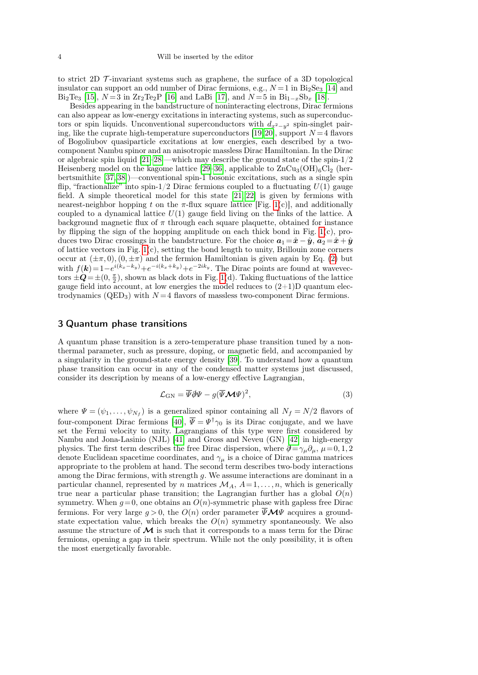to strict 2D  $\mathcal{T}$ -invariant systems such as graphene, the surface of a 3D topological insulator can support an odd number of Dirac fermions, e.g.,  $N=1$  in  $Bi<sub>2</sub>Se<sub>3</sub>$  [\[14\]](#page-15-11) and Bi<sub>2</sub>Te<sub>3</sub> [\[15\]](#page-15-12),  $N = 3$  in  $Zr_2Te_2P$  [\[16\]](#page-15-13) and LaBi [\[17\]](#page-15-14), and  $N = 5$  in  $Bi_{1-x}Sb_x$  [\[18\]](#page-15-15).

Besides appearing in the bandstructure of noninteracting electrons, Dirac fermions can also appear as low-energy excitations in interacting systems, such as superconductors or spin liquids. Unconventional superconductors with  $d_{x^2-y^2}$  spin-singlet pair-ing, like the cuprate high-temperature superconductors [\[19,](#page-15-16)[20\]](#page-15-17), support  $N=4$  flavors of Bogoliubov quasiparticle excitations at low energies, each described by a twocomponent Nambu spinor and an anisotropic massless Dirac Hamiltonian. In the Dirac or algebraic spin liquid  $[21-28]$  $[21-28]$ —which may describe the ground state of the spin- $1/2$ Heisenberg model on the kagome lattice [\[29–](#page-15-20)[36\]](#page-15-21), applicable to  $\rm ZnCu<sub>3</sub>(OH)<sub>6</sub>Cl<sub>2</sub>$  (herbertsmithite [\[37,](#page-15-22) [38\]](#page-15-23))—conventional spin-1 bosonic excitations, such as a single spin flip, "fractionalize" into spin-1/2 Dirac fermions coupled to a fluctuating  $U(1)$  gauge field. A simple theoretical model for this state [\[21,](#page-15-18) [22\]](#page-15-24) is given by fermions with nearest-neighbor hopping t on the  $\pi$ -flux square lattice [Fig. [1\(](#page-2-0)c)], and additionally coupled to a dynamical lattice  $U(1)$  gauge field living on the links of the lattice. A background magnetic flux of  $\pi$  through each square plaquette, obtained for instance by flipping the sign of the hopping amplitude on each thick bond in Fig.  $1(c)$ , produces two Dirac crossings in the bandstructure. For the choice  $a_1 = \hat{x} - \hat{y}$ ,  $a_2 = \hat{x} + \hat{y}$ of lattice vectors in Fig.  $1(c)$ , setting the bond length to unity, Brillouin zone corners occur at  $(\pm \pi, 0), (0, \pm \pi)$  and the fermion Hamiltonian is given again by Eq. [\(2\)](#page-2-1) but with  $f(\mathbf{k}) = 1 - e^{i(k_x - k_y)} + e^{-i(k_x + k_y)} + e^{-2ik_y}$ . The Dirac points are found at wavevectors  $\pm \mathbf{Q} = \pm (0, \frac{\pi}{2})$ , shown as black dots in Fig. [1\(](#page-2-0)d). Taking fluctuations of the lattice gauge field into account, at low energies the model reduces to  $(2+1)D$  quantum electrodynamics ( $QED_3$ ) with  $N=4$  flavors of massless two-component Dirac fermions.

#### <span id="page-3-0"></span>3 Quantum phase transitions

A quantum phase transition is a zero-temperature phase transition tuned by a nonthermal parameter, such as pressure, doping, or magnetic field, and accompanied by a singularity in the ground-state energy density [\[39\]](#page-16-0). To understand how a quantum phase transition can occur in any of the condensed matter systems just discussed, consider its description by means of a low-energy effective Lagrangian,

<span id="page-3-1"></span>
$$
\mathcal{L}_{\rm GN} = \overline{\Psi} \partial \Psi - g (\overline{\Psi} \mathcal{M} \Psi)^2, \tag{3}
$$

where  $\Psi = (\psi_1, \dots, \psi_{N_f})$  is a generalized spinor containing all  $N_f = N/2$  flavors of four-component Dirac fermions [\[40\]](#page-16-1),  $\Psi = \Psi^{\dagger} \gamma_0$  is its Dirac conjugate, and we have set the Fermi velocity to unity. Lagrangians of this type were first considered by Nambu and Jona-Lasinio (NJL) [\[41\]](#page-16-2) and Gross and Neveu (GN) [\[42\]](#page-16-3) in high-energy physics. The first term describes the free Dirac dispersion, where  $\partial = \gamma_\mu \partial_\mu$ ,  $\mu = 0, 1, 2$ denote Euclidean spacetime coordinates, and  $\gamma_{\mu}$  is a choice of Dirac gamma matrices appropriate to the problem at hand. The second term describes two-body interactions among the Dirac fermions, with strength  $g$ . We assume interactions are dominant in a particular channel, represented by n matrices  $\mathcal{M}_A$ ,  $A=1,\ldots,n$ , which is generically true near a particular phase transition; the Lagrangian further has a global  $O(n)$ symmetry. When  $g=0$ , one obtains an  $O(n)$ -symmetric phase with gapless free Dirac fermions. For very large  $g > 0$ , the  $O(n)$  order parameter  $\overline{\Psi} \mathcal{M} \Psi$  acquires a groundstate expectation value, which breaks the  $O(n)$  symmetry spontaneously. We also assume the structure of  $\mathcal M$  is such that it corresponds to a mass term for the Dirac fermions, opening a gap in their spectrum. While not the only possibility, it is often the most energetically favorable.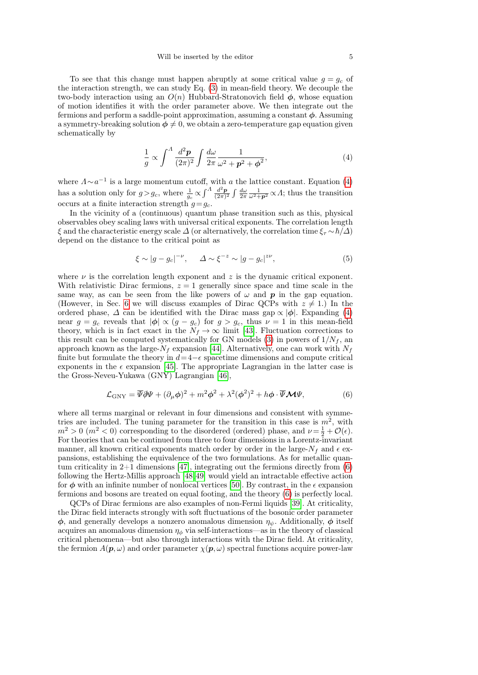To see that this change must happen abruptly at some critical value  $g = g_c$  of the interaction strength, we can study Eq. [\(3\)](#page-3-1) in mean-field theory. We decouple the two-body interaction using an  $O(n)$  Hubbard-Stratonovich field  $\phi$ , whose equation of motion identifies it with the order parameter above. We then integrate out the fermions and perform a saddle-point approximation, assuming a constant  $\phi$ . Assuming a symmetry-breaking solution  $\phi \neq 0$ , we obtain a zero-temperature gap equation given schematically by

<span id="page-4-0"></span>
$$
\frac{1}{g} \propto \int^A \frac{d^2 \mathbf{p}}{(2\pi)^2} \int \frac{d\omega}{2\pi} \frac{1}{\omega^2 + \mathbf{p}^2 + \phi^2},\tag{4}
$$

where  $\Lambda \sim a^{-1}$  is a large momentum cutoff, with a the lattice constant. Equation [\(4\)](#page-4-0) has a solution only for  $g > g_c$ , where  $\frac{1}{g_c} \propto \int^A \frac{d^2p}{(2\pi)}$  $\frac{d^2\mathbf{p}}{(2\pi)^2} \int \frac{d\omega}{2\pi} \frac{1}{\omega^2 + \mathbf{p}^2} \propto A$ ; thus the transition occurs at a finite interaction strength  $g = g_c$ .

In the vicinity of a (continuous) quantum phase transition such as this, physical observables obey scaling laws with universal critical exponents. The correlation length  $\xi$  and the characteristic energy scale  $\Delta$  (or alternatively, the correlation time  $\xi_{\tau} \sim \hbar/\Delta$ ) depend on the distance to the critical point as

$$
\xi \sim |g - g_c|^{-\nu}, \qquad \Delta \sim \xi^{-z} \sim |g - g_c|^{z\nu},\tag{5}
$$

where  $\nu$  is the correlation length exponent and z is the dynamic critical exponent. With relativistic Dirac fermions,  $z = 1$  generally since space and time scale in the same way, as can be seen from the like powers of  $\omega$  and  $\boldsymbol{p}$  in the gap equation. (However, in Sec. [6](#page-10-0) we will discuss examples of Dirac OCPs with  $z \neq 1$ .) In the ordered phase,  $\Delta$  can be identified with the Dirac mass gap  $\propto |\phi|$ . Expanding [\(4\)](#page-4-0) near  $g = g_c$  reveals that  $|\phi| \propto (g - g_c)$  for  $g > g_c$ , thus  $\nu = 1$  in this mean-field theory, which is in fact exact in the  $N_f \to \infty$  limit [\[43\]](#page-16-4). Fluctuation corrections to this result can be computed systematically for GN models [\(3\)](#page-3-1) in powers of  $1/N_f$ , and approach known as the large- $N_f$  expansion [\[44\]](#page-16-5). Alternatively, one can work with  $N_f$ finite but formulate the theory in  $d=4-\epsilon$  spacetime dimensions and compute critical exponents in the  $\epsilon$  expansion [\[45\]](#page-16-6). The appropriate Lagrangian in the latter case is the Gross-Neveu-Yukawa (GNY) Lagrangian [\[46\]](#page-16-7),

<span id="page-4-1"></span>
$$
\mathcal{L}_{\text{GNY}} = \overline{\Psi}\partial\Psi + (\partial_{\mu}\phi)^2 + m^2\phi^2 + \lambda^2(\phi^2)^2 + h\phi \cdot \overline{\Psi}\mathcal{M}\Psi, \tag{6}
$$

where all terms marginal or relevant in four dimensions and consistent with symmetries are included. The tuning parameter for the transition in this case is  $m^2$ , with  $m^2 > 0$  ( $m^2 < 0$ ) corresponding to the disordered (ordered) phase, and  $\nu = \frac{1}{2} + \mathcal{O}(\epsilon)$ . For theories that can be continued from three to four dimensions in a Lorentz-invariant manner, all known critical exponents match order by order in the large- $N_f$  and  $\epsilon$  expansions, establishing the equivalence of the two formulations. As for metallic quantum criticality in  $2+1$  dimensions [\[47\]](#page-16-8), integrating out the fermions directly from [\(6\)](#page-4-1) following the Hertz-Millis approach [\[48,](#page-16-9)[49\]](#page-16-10) would yield an intractable effective action for  $\phi$  with an infinite number of nonlocal vertices [\[50\]](#page-16-11). By contrast, in the  $\epsilon$  expansion fermions and bosons are treated on equal footing, and the theory [\(6\)](#page-4-1) is perfectly local.

QCPs of Dirac fermions are also examples of non-Fermi liquids [\[39\]](#page-16-0). At criticality, the Dirac field interacts strongly with soft fluctuations of the bosonic order parameter  $\phi$ , and generally develops a nonzero anomalous dimension  $\eta_{\psi}$ . Additionally,  $\phi$  itself acquires an anomalous dimension  $\eta_{\phi}$  via self-interactions—as in the theory of classical critical phenomena—but also through interactions with the Dirac field. At criticality, the fermion  $A(\mathbf{p}, \omega)$  and order parameter  $\chi(\mathbf{p}, \omega)$  spectral functions acquire power-law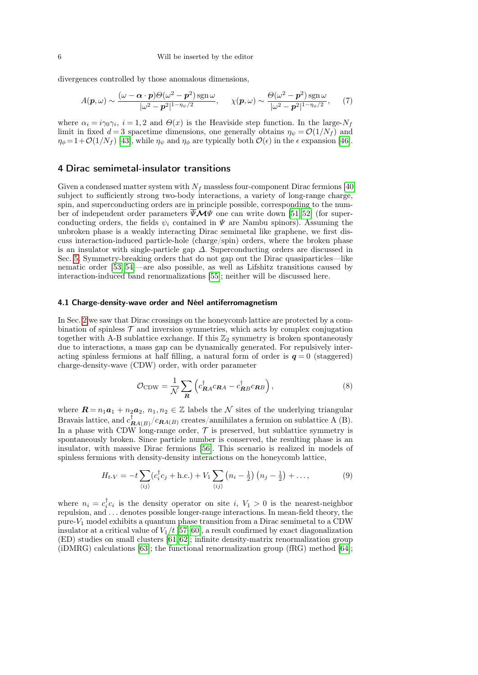divergences controlled by those anomalous dimensions,

$$
A(\boldsymbol{p},\omega) \sim \frac{(\omega - \boldsymbol{\alpha} \cdot \boldsymbol{p})\Theta(\omega^2 - \boldsymbol{p}^2)\operatorname{sgn}\omega}{|\omega^2 - \boldsymbol{p}^2|^{1 - \eta_{\psi}/2}}, \quad \chi(\boldsymbol{p},\omega) \sim \frac{\Theta(\omega^2 - \boldsymbol{p}^2)\operatorname{sgn}\omega}{|\omega^2 - \boldsymbol{p}^2|^{1 - \eta_{\phi}/2}},\tag{7}
$$

where  $\alpha_i = i\gamma_0\gamma_i$ ,  $i = 1, 2$  and  $\Theta(x)$  is the Heaviside step function. In the large- $N_f$ limit in fixed  $d=3$  spacetime dimensions, one generally obtains  $\eta_{\psi} = \mathcal{O}(1/N_f)$  and  $\eta_{\phi} = 1 + \mathcal{O}(1/N_f)$  [\[43\]](#page-16-4), while  $\eta_{\psi}$  and  $\eta_{\phi}$  are typically both  $\mathcal{O}(\epsilon)$  in the  $\epsilon$  expansion [\[46\]](#page-16-7).

#### <span id="page-5-0"></span>4 Dirac semimetal-insulator transitions

Given a condensed matter system with  $N_f$  massless four-component Dirac fermions [\[40\]](#page-16-1) subject to sufficiently strong two-body interactions, a variety of long-range charge, spin, and superconducting orders are in principle possible, corresponding to the number of independent order parameters  $\overline{\Psi} \mathcal{M} \Psi$  one can write down [\[51,](#page-16-12) [52\]](#page-16-13) (for superconducting orders, the fields  $\psi_i$  contained in  $\Psi$  are Nambu spinors). Assuming the unbroken phase is a weakly interacting Dirac semimetal like graphene, we first discuss interaction-induced particle-hole (charge/spin) orders, where the broken phase is an insulator with single-particle gap  $\Delta$ . Superconducting orders are discussed in Sec. [5.](#page-8-0) Symmetry-breaking orders that do not gap out the Dirac quasiparticles—like nematic order [\[53,](#page-16-14) [54\]](#page-16-15)—are also possible, as well as Lifshitz transitions caused by interaction-induced band renormalizations [\[55\]](#page-16-16); neither will be discussed here.

#### <span id="page-5-2"></span>4.1 Charge-density-wave order and Néel antiferromagnetism

In Sec. [2](#page-1-0) we saw that Dirac crossings on the honeycomb lattice are protected by a combination of spinless  $\mathcal T$  and inversion symmetries, which acts by complex conjugation together with A-B sublattice exchange. If this  $\mathbb{Z}_2$  symmetry is broken spontaneously due to interactions, a mass gap can be dynamically generated. For repulsively interacting spinless fermions at half filling, a natural form of order is  $q = 0$  (staggered) charge-density-wave (CDW) order, with order parameter

<span id="page-5-1"></span>
$$
\mathcal{O}_{CDW} = \frac{1}{N} \sum_{\mathbf{R}} \left( c_{\mathbf{R}A}^{\dagger} c_{\mathbf{R}A} - c_{\mathbf{R}B}^{\dagger} c_{\mathbf{R}B} \right), \tag{8}
$$

where  $\mathbf{R} = n_1 \mathbf{a}_1 + n_2 \mathbf{a}_2, n_1, n_2 \in \mathbb{Z}$  labels the  $\mathcal N$  sites of the underlying triangular Bravais lattice, and  $c_{\mathbf{R}A(B)}^{\dagger}/c_{\mathbf{R}A(B)}$  creates/annihilates a fermion on sublattice A (B). In a phase with CDW long-range order,  $\mathcal T$  is preserved, but sublattice symmetry is spontaneously broken. Since particle number is conserved, the resulting phase is an insulator, with massive Dirac fermions [\[56\]](#page-16-17). This scenario is realized in models of spinless fermions with density-density interactions on the honeycomb lattice,

$$
H_{t-V} = -t\sum_{\langle ij \rangle} (c_i^{\dagger} c_j + \text{h.c.}) + V_1 \sum_{\langle ij \rangle} (n_i - \frac{1}{2}) (n_j - \frac{1}{2}) + \dots,
$$
 (9)

where  $n_i = c_i^{\dagger} c_i$  is the density operator on site i,  $V_1 > 0$  is the nearest-neighbor repulsion, and . . . denotes possible longer-range interactions. In mean-field theory, the pure- $V_1$  model exhibits a quantum phase transition from a Dirac semimetal to a CDW insulator at a critical value of  $V_1/t$  [\[57](#page-16-18)[–60\]](#page-16-19), a result confirmed by exact diagonalization (ED) studies on small clusters [\[61,](#page-16-20) [62\]](#page-16-21); infinite density-matrix renormalization group (iDMRG) calculations [\[63\]](#page-16-22); the functional renormalization group (fRG) method [\[64\]](#page-16-23);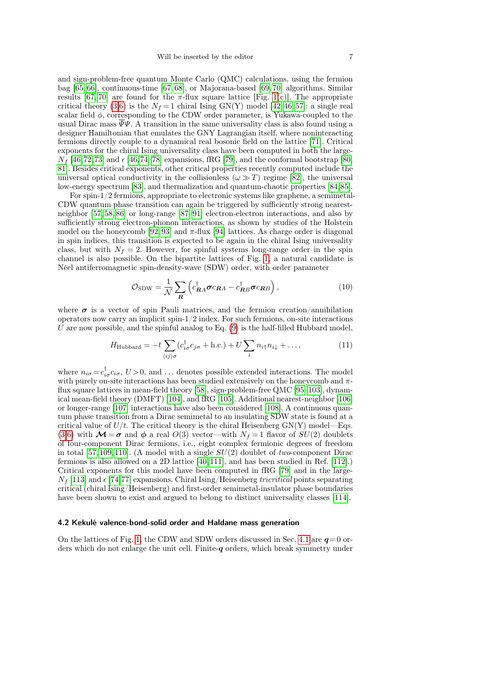and sign-problem-free quantum Monte Carlo (QMC) calculations, using the fermion bag [\[65,](#page-16-24) [66\]](#page-16-25), continuous-time [\[67,](#page-16-26) [68\]](#page-16-27), or Majorana-based [\[69,](#page-16-28) [70\]](#page-16-29) algorithms. Similar results [\[67,](#page-16-26) [70\]](#page-16-29) are found for the  $\pi$ -flux square lattice [Fig. [1\(](#page-2-0)c)]. The appropriate critical theory [\(3,](#page-3-1)[6\)](#page-4-1) is the  $N_f = 1$  chiral Ising GN(Y) model [\[42,](#page-16-3) [46,](#page-16-7) [57\]](#page-16-18): a single real scalar field  $\phi$ , corresponding to the CDW order parameter, is Yukawa-coupled to the usual Dirac mass  $\overline{\Psi}\Psi$ . A transition in the same universality class is also found using a designer Hamiltonian that emulates the GNY Lagrangian itself, where noninteracting fermions directly couple to a dynamical real bosonic field on the lattice [\[71\]](#page-16-30). Critical exponents for the chiral Ising universality class have been computed in both the large- $N_f$  [\[46,](#page-16-7)[72,](#page-16-31)[73\]](#page-16-32) and  $\epsilon$  [46,[74](#page-16-33)[–78\]](#page-16-34) expansions, fRG [\[79\]](#page-16-35), and the conformal bootstrap [\[80,](#page-16-36) [81\]](#page-16-37). Besides critical exponents, other critical properties recently computed include the universal optical conductivity in the collisionless  $(\omega \gg T)$  regime [\[82\]](#page-16-38), the universal low-energy spectrum [\[83\]](#page-17-0), and thermalization and quantum-chaotic properties [\[84,](#page-17-1)[85\]](#page-17-2).

For spin-1/2 fermions, appropriate to electronic systems like graphene, a semimetal-CDW quantum phase transition can again be triggered by sufficiently strong nearestneighbor [\[57,](#page-16-18) [58,](#page-16-39) [86\]](#page-17-3) or long-range [\[87–](#page-17-4)[91\]](#page-17-5) electron-electron interactions, and also by sufficiently strong electron-phonon interactions, as shown by studies of the Holstein model on the honeycomb [\[92,](#page-17-6)93] and  $\pi$ -flux [\[94\]](#page-17-8) lattices. As charge order is diagonal in spin indices, this transition is expected to be again in the chiral Ising universality class, but with  $N_f = 2$ . However, for spinful systems long-range order in the spin channel is also possible. On the bipartite lattices of Fig. [1,](#page-2-0) a natural candidate is Néel antiferromagnetic spin-density-wave (SDW) order, with order parameter

<span id="page-6-0"></span>
$$
\mathcal{O}_{SDW} = \frac{1}{N} \sum_{\mathbf{R}} \left( c_{\mathbf{R}A}^{\dagger} \boldsymbol{\sigma} c_{\mathbf{R}A} - c_{\mathbf{R}B}^{\dagger} \boldsymbol{\sigma} c_{\mathbf{R}B} \right), \qquad (10)
$$

where  $\sigma$  is a vector of spin Pauli matrices, and the fermion creation/annihilation operators now carry an implicit spin- $1/2$  index. For such fermions, on-site interactions U are now possible, and the spinful analog to Eq.  $(9)$  is the half-filled Hubbard model,

$$
H_{\text{Hubbard}} = -t \sum_{\langle ij \rangle \sigma} (c_{i\sigma}^{\dagger} c_{j\sigma} + \text{h.c.}) + U \sum_{i} n_{i\uparrow} n_{i\downarrow} + \dots,
$$
 (11)

where  $n_{i\sigma} = c_{i\sigma}^{\dagger} c_{i\sigma}, U > 0$ , and ... denotes possible extended interactions. The model with purely on-site interactions has been studied extensively on the honeycomb and  $\pi$ flux square lattices in mean-field theory [\[58\]](#page-16-39), sign-problem-free QMC [\[95–](#page-17-9)[103\]](#page-17-10), dynamical mean-field theory (DMFT) [\[104\]](#page-17-11), and fRG [\[105\]](#page-17-12). Additional nearest-neighbor [\[106\]](#page-17-13) or longer-range [\[107\]](#page-17-14) interactions have also been considered [\[108\]](#page-17-15). A continuous quantum phase transition from a Dirac semimetal to an insulating SDW state is found at a critical value of  $U/t$ . The critical theory is the chiral Heisenberg  $GN(Y)$  model—Eqs. [\(3,](#page-3-1)[6\)](#page-4-1) with  $\mathcal{M}=\sigma$  and  $\phi$  a real  $O(3)$  vector—with  $N_f=1$  flavor of  $SU(2)$  doublets of four-component Dirac fermions, i.e., eight complex fermionic degrees of freedom in total [\[57,](#page-16-18)[109,](#page-17-16)[110\]](#page-17-17). (A model with a single  $SU(2)$  doublet of two-component Dirac fermions is also allowed on a 2D lattice [\[40,](#page-16-1)[111\]](#page-17-18), and has been studied in Ref. [\[112\]](#page-17-19).) Critical exponents for this model have been computed in fRG [\[79\]](#page-16-35) and in the large- $N_f$  [\[113\]](#page-17-20) and  $\epsilon$  [\[74,](#page-16-33)[77\]](#page-16-40) expansions. Chiral Ising/Heisenberg *tricritical* points separating critical (chiral Ising/Heisenberg) and first-order semimetal-insulator phase boundaries have been shown to exist and argued to belong to distinct universality classes [\[114\]](#page-17-21).

#### <span id="page-6-1"></span>4.2 Kekulé valence-bond-solid order and Haldane mass generation

On the lattices of Fig. [1,](#page-2-0) the CDW and SDW orders discussed in Sec. [4.1](#page-5-2) are  $q=0$  orders which do not enlarge the unit cell. Finite- $q$  orders, which break symmetry under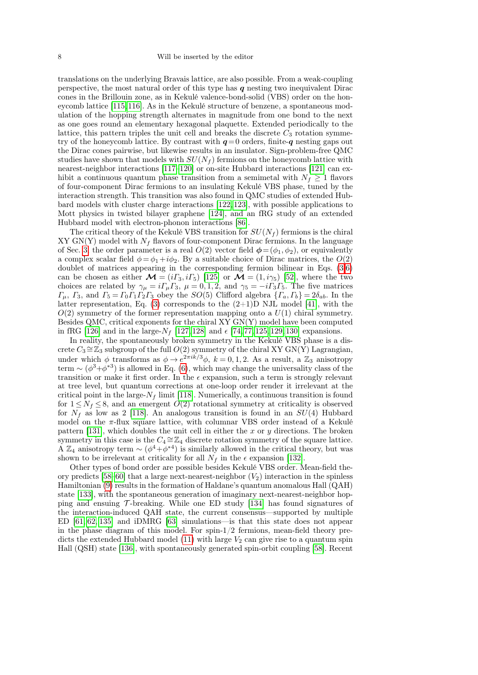translations on the underlying Bravais lattice, are also possible. From a weak-coupling perspective, the most natural order of this type has  $q$  nesting two inequivalent Dirac cones in the Brillouin zone, as in Kekulé valence-bond-solid (VBS) order on the honeycomb lattice [\[115,](#page-17-22)[116\]](#page-17-23). As in the Kekulé structure of benzene, a spontaneous modulation of the hopping strength alternates in magnitude from one bond to the next as one goes round an elementary hexagonal plaquette. Extended periodically to the lattice, this pattern triples the unit cell and breaks the discrete  $C_3$  rotation symmetry of the honeycomb lattice. By contrast with  $q=0$  orders, finite-q nesting gaps out the Dirac cones pairwise, but likewise results in an insulator. Sign-problem-free QMC studies have shown that models with  $SU(N_f)$  fermions on the honeycomb lattice with nearest-neighbor interactions [\[117–](#page-17-24)[120\]](#page-17-25) or on-site Hubbard interactions [\[121\]](#page-17-26) can exhibit a continuous quantum phase transition from a semimetal with  $N_f \geq 1$  flavors of four-component Dirac fermions to an insulating Kekulé VBS phase, tuned by the interaction strength. This transition was also found in QMC studies of extended Hubbard models with cluster charge interactions [\[122,](#page-17-27) [123\]](#page-17-28), with possible applications to Mott physics in twisted bilayer graphene [\[124\]](#page-17-29), and an fRG study of an extended Hubbard model with electron-phonon interactions [\[86\]](#page-17-3).

The critical theory of the Kekulé VBS transition for  $SU(N_f)$  fermions is the chiral  $XY GN(Y)$  model with  $N_f$  flavors of four-component Dirac fermions. In the language of Sec. [3,](#page-3-0) the order parameter is a real  $O(2)$  vector field  $\phi = (\phi_1, \phi_2)$ , or equivalently a complex scalar field  $\phi = \phi_1 + i\phi_2$ . By a suitable choice of Dirac matrices, the  $O(2)$ doublet of matrices appearing in the corresponding fermion bilinear in Eqs. [\(3,](#page-3-1)[6\)](#page-4-1) can be chosen as either  $\mathcal{M} = (i\Gamma_3, i\Gamma_5)$  [\[125\]](#page-18-0) or  $\mathcal{M} = (1, i\gamma_5)$  [\[52\]](#page-16-13), where the two choices are related by  $\gamma_{\mu} = i\Gamma_{\mu}\Gamma_3$ ,  $\mu = 0, 1, 2$ , and  $\gamma_5 = -i\Gamma_3\Gamma_5$ . The five matrices  $\Gamma_{\mu}$ ,  $\Gamma_{3}$ , and  $\Gamma_{5} = \Gamma_{0} \Gamma_{1} \Gamma_{2} \Gamma_{3}$  obey the  $SO(5)$  Clifford algebra  $\{\Gamma_{a}, \Gamma_{b}\} = 2\delta_{ab}$ . In the latter representation, Eq.  $(3)$  corresponds to the  $(2+1)$ D NJL model [\[41\]](#page-16-2), with the  $O(2)$  symmetry of the former representation mapping onto a  $U(1)$  chiral symmetry. Besides QMC, critical exponents for the chiral XY GN(Y) model have been computed in fRG [\[126\]](#page-18-1) and in the large- $N_f$  [\[127,](#page-18-2) [128\]](#page-18-3) and  $\epsilon$  [\[74,](#page-16-33) [77,](#page-16-40) [125,](#page-18-0) [129,](#page-18-4) [130\]](#page-18-5) expansions.

In reality, the spontaneously broken symmetry in the Kekulé VBS phase is a discrete  $C_3 \cong \mathbb{Z}_3$  subgroup of the full  $O(2)$  symmetry of the chiral XY GN(Y) Lagrangian, under which  $\phi$  transforms as  $\phi \to e^{2\pi i k/3} \phi$ ,  $k = 0, 1, 2$ . As a result, a  $\mathbb{Z}_3$  anisotropy term  $\sim (\phi^3 + \phi^{*3})$  is allowed in Eq. [\(6\)](#page-4-1), which may change the universality class of the transition or make it first order. In the  $\epsilon$  expansion, such a term is strongly relevant at tree level, but quantum corrections at one-loop order render it irrelevant at the critical point in the large- $N_f$  limit [\[118\]](#page-17-30). Numerically, a continuous transition is found for  $1 \leq N_f \leq 8$ , and an emergent  $O(2)$  rotational symmetry at criticality is observed for  $N_f$  as low as 2 [\[118\]](#page-17-30). An analogous transition is found in an  $SU(4)$  Hubbard model on the  $\pi$ -flux square lattice, with columnar VBS order instead of a Kekulé pattern [\[131\]](#page-18-6), which doubles the unit cell in either the x or y directions. The broken symmetry in this case is the  $C_4 \cong \mathbb{Z}_4$  discrete rotation symmetry of the square lattice. Å  $\mathbb{Z}_4$  anisotropy term  $\sim (\phi^4 + \phi^{*4})$  is similarly allowed in the critical theory, but was shown to be irrelevant at criticality for all  $N_f$  in the  $\epsilon$  expansion [\[132\]](#page-18-7).

Other types of bond order are possible besides Kekulé VBS order. Mean-field the-ory predicts [\[58–](#page-16-39)[60\]](#page-16-19) that a large next-nearest-neighbor  $(V_2)$  interaction in the spinless Hamiltonian [\(9\)](#page-5-1) results in the formation of Haldane's quantum anomalous Hall (QAH) state [\[133\]](#page-18-8), with the spontaneous generation of imaginary next-nearest-neighbor hopping and ensuing  $\mathcal T$ -breaking. While one ED study [\[134\]](#page-18-9) has found signatures of the interaction-induced QAH state, the current consensus—supported by multiple ED [\[61,](#page-16-20) [62,](#page-16-21) [135\]](#page-18-10) and iDMRG [\[63\]](#page-16-22) simulations—is that this state does not appear in the phase diagram of this model. For  $spin-1/2$  fermions, mean-field theory pre-dicts the extended Hubbard model [\(11\)](#page-6-0) with large  $V_2$  can give rise to a quantum spin Hall (QSH) state [\[136\]](#page-18-11), with spontaneously generated spin-orbit coupling [\[58\]](#page-16-39). Recent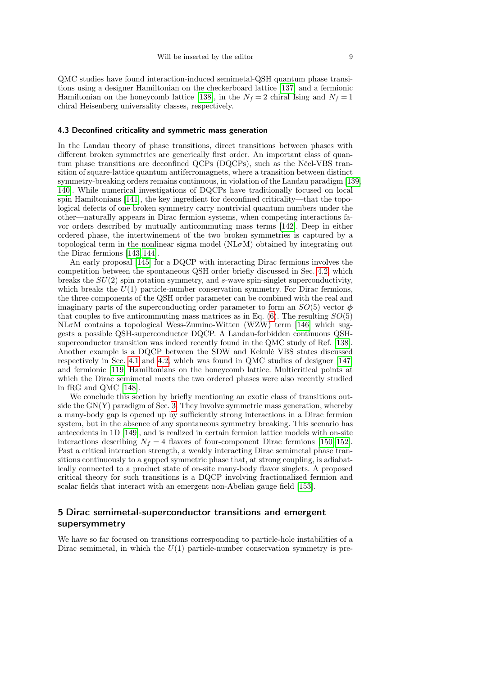QMC studies have found interaction-induced semimetal-QSH quantum phase transitions using a designer Hamiltonian on the checkerboard lattice [\[137\]](#page-18-12) and a fermionic Hamiltonian on the honeycomb lattice [\[138\]](#page-18-13), in the  $N_f = 2$  chiral Ising and  $N_f = 1$ chiral Heisenberg universality classes, respectively.

#### 4.3 Deconfined criticality and symmetric mass generation

In the Landau theory of phase transitions, direct transitions between phases with different broken symmetries are generically first order. An important class of quantum phase transitions are deconfined QCPs (DQCPs), such as the Néel-VBS transition of square-lattice quantum antiferromagnets, where a transition between distinct symmetry-breaking orders remains continuous, in violation of the Landau paradigm [\[139,](#page-18-14) [140\]](#page-18-15). While numerical investigations of DQCPs have traditionally focused on local spin Hamiltonians [\[141\]](#page-18-16), the key ingredient for deconfined criticality—that the topological defects of one broken symmetry carry nontrivial quantum numbers under the other—naturally appears in Dirac fermion systems, when competing interactions favor orders described by mutually anticommuting mass terms [\[142\]](#page-18-17). Deep in either ordered phase, the intertwinement of the two broken symmetries is captured by a topological term in the nonlinear sigma model ( $N\text{L}\sigma\text{M}$ ) obtained by integrating out the Dirac fermions [\[143,](#page-18-18) [144\]](#page-18-19).

An early proposal [\[145\]](#page-18-20) for a DQCP with interacting Dirac fermions involves the competition between the spontaneous QSH order briefly discussed in Sec. [4.2,](#page-6-1) which breaks the  $SU(2)$  spin rotation symmetry, and s-wave spin-singlet superconductivity, which breaks the  $U(1)$  particle-number conservation symmetry. For Dirac fermions, the three components of the QSH order parameter can be combined with the real and imaginary parts of the superconducting order parameter to form an  $SO(5)$  vector  $\phi$ that couples to five anticommuting mass matrices as in Eq.  $(6)$ . The resulting  $SO(5)$ NLσM contains a topological Wess-Zumino-Witten (WZW) term [\[146\]](#page-18-21) which suggests a possible QSH-superconductor DQCP. A Landau-forbidden continuous QSHsuperconductor transition was indeed recently found in the QMC study of Ref. [\[138\]](#page-18-13). Another example is a DQCP between the SDW and Kekulé VBS states discussed respectively in Sec. [4.1](#page-5-2) and [4.2,](#page-6-1) which was found in QMC studies of designer [\[147\]](#page-18-22) and fermionic [\[119\]](#page-17-31) Hamiltonians on the honeycomb lattice. Multicritical points at which the Dirac semimetal meets the two ordered phases were also recently studied in fRG and QMC [\[148\]](#page-18-23).

We conclude this section by briefly mentioning an exotic class of transitions outside the  $GN(Y)$  paradigm of Sec. [3.](#page-3-0) They involve symmetric mass generation, whereby a many-body gap is opened up by sufficiently strong interactions in a Dirac fermion system, but in the absence of any spontaneous symmetry breaking. This scenario has antecedents in 1D [\[149\]](#page-18-24), and is realized in certain fermion lattice models with on-site interactions describing  $N_f = 4$  flavors of four-component Dirac fermions [\[150–](#page-18-25)[152\]](#page-18-26). Past a critical interaction strength, a weakly interacting Dirac semimetal phase transitions continuously to a gapped symmetric phase that, at strong coupling, is adiabatically connected to a product state of on-site many-body flavor singlets. A proposed critical theory for such transitions is a DQCP involving fractionalized fermion and scalar fields that interact with an emergent non-Abelian gauge field [\[153\]](#page-18-27).

# <span id="page-8-0"></span>5 Dirac semimetal-superconductor transitions and emergent supersymmetry

We have so far focused on transitions corresponding to particle-hole instabilities of a Dirac semimetal, in which the  $U(1)$  particle-number conservation symmetry is pre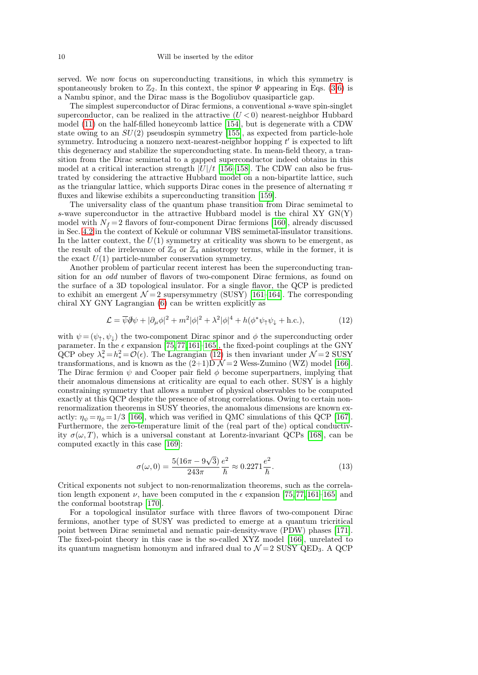served. We now focus on superconducting transitions, in which this symmetry is spontaneously broken to  $\mathbb{Z}_2$ . In this context, the spinor  $\Psi$  appearing in Eqs. [\(3,](#page-3-1)[6\)](#page-4-1) is a Nambu spinor, and the Dirac mass is the Bogoliubov quasiparticle gap.

The simplest superconductor of Dirac fermions, a conventional s-wave spin-singlet superconductor, can be realized in the attractive  $(U < 0)$  nearest-neighbor Hubbard model [\(11\)](#page-6-0) on the half-filled honeycomb lattice [\[154\]](#page-18-28), but is degenerate with a CDW state owing to an  $SU(2)$  pseudospin symmetry [\[155\]](#page-18-29), as expected from particle-hole symmetry. Introducing a nonzero next-nearest-neighbor hopping  $t'$  is expected to lift this degeneracy and stabilize the superconducting state. In mean-field theory, a transition from the Dirac semimetal to a gapped superconductor indeed obtains in this model at a critical interaction strength  $|U|/t$  [\[156](#page-18-30)[–158\]](#page-18-31). The CDW can also be frustrated by considering the attractive Hubbard model on a non-bipartite lattice, such as the triangular lattice, which supports Dirac cones in the presence of alternating  $\pi$ fluxes and likewise exhibits a superconducting transition [\[159\]](#page-18-32).

The universality class of the quantum phase transition from Dirac semimetal to s-wave superconductor in the attractive Hubbard model is the chiral XY  $GN(Y)$ model with  $N_f = 2$  flavors of four-component Dirac fermions [\[160\]](#page-18-33), already discussed in Sec. [4.2](#page-6-1) in the context of Kekulé or columnar VBS semimetal-insulator transitions. In the latter context, the  $U(1)$  symmetry at criticality was shown to be emergent, as the result of the irrelevance of  $\mathbb{Z}_3$  or  $\mathbb{Z}_4$  anisotropy terms, while in the former, it is the exact  $U(1)$  particle-number conservation symmetry.

Another problem of particular recent interest has been the superconducting transition for an odd number of flavors of two-component Dirac fermions, as found on the surface of a 3D topological insulator. For a single flavor, the QCP is predicted to exhibit an emergent  $\mathcal{N}=2$  supersymmetry (SUSY) [\[161](#page-18-34)[–164\]](#page-18-35). The corresponding chiral XY GNY Lagrangian [\(6\)](#page-4-1) can be written explicitly as

<span id="page-9-0"></span>
$$
\mathcal{L} = \overline{\psi}\partial\psi + |\partial_{\mu}\phi|^{2} + m^{2}|\phi|^{2} + \lambda^{2}|\phi|^{4} + h(\phi^{*}\psi_{\uparrow}\psi_{\downarrow} + \text{h.c.}),
$$
\n(12)

with  $\psi = (\psi_{\uparrow}, \psi_{\downarrow})$  the two-component Dirac spinor and  $\phi$  the superconducting order parameter. In the  $\epsilon$  expansion [\[75,](#page-16-41)[77,](#page-16-40)[161](#page-18-34)[–165\]](#page-18-36), the fixed-point couplings at the GNY QCP obey  $\lambda_*^2 = h_*^2 = \mathcal{O}(\epsilon)$ . The Lagrangian [\(12\)](#page-9-0) is then invariant under  $\mathcal{N} = 2$  SUSY transformations, and is known as the  $(2+1)D \mathcal{N}=2$  Wess-Zumino (WZ) model [\[166\]](#page-18-37). The Dirac fermion  $\psi$  and Cooper pair field  $\phi$  become superpartners, implying that their anomalous dimensions at criticality are equal to each other. SUSY is a highly constraining symmetry that allows a number of physical observables to be computed exactly at this QCP despite the presence of strong correlations. Owing to certain nonrenormalization theorems in SUSY theories, the anomalous dimensions are known exactly:  $\eta_{\psi} = \eta_{\phi} = 1/3$  [\[166\]](#page-18-37), which was verified in QMC simulations of this QCP [\[167\]](#page-18-38). Furthermore, the zero-temperature limit of the (real part of the) optical conductivity  $\sigma(\omega, T)$ , which is a universal constant at Lorentz-invariant QCPs [\[168\]](#page-18-39), can be computed exactly in this case [\[169\]](#page-18-40):

$$
\sigma(\omega, 0) = \frac{5(16\pi - 9\sqrt{3})}{243\pi} \frac{e^2}{\hbar} \approx 0.2271 \frac{e^2}{\hbar}.
$$
\n(13)

Critical exponents not subject to non-renormalization theorems, such as the correlation length exponent  $\nu$ , have been computed in the  $\epsilon$  expansion [\[75,](#page-16-41) [77,](#page-16-40) [161–](#page-18-34)[165\]](#page-18-36) and the conformal bootstrap [\[170\]](#page-18-41).

For a topological insulator surface with three flavors of two-component Dirac fermions, another type of SUSY was predicted to emerge at a quantum tricritical point between Dirac semimetal and nematic pair-density-wave (PDW) phases [\[171\]](#page-19-0). The fixed-point theory in this case is the so-called XYZ model [\[166\]](#page-18-37), unrelated to its quantum magnetism homonym and infrared dual to  $\mathcal{N}=2$  SUSY QED<sub>3</sub>. A QCP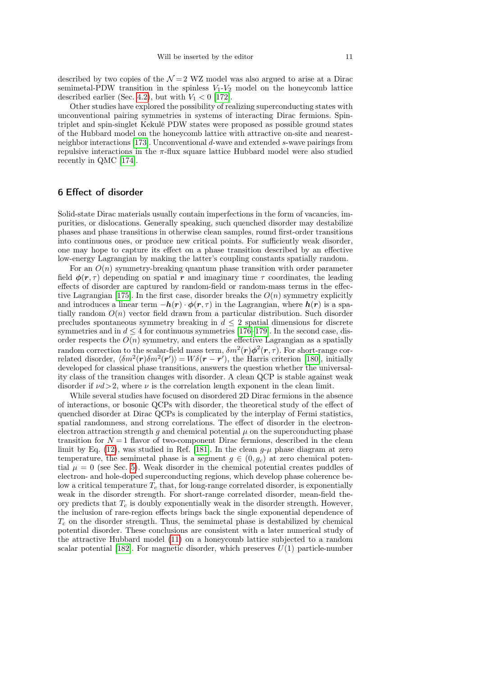described by two copies of the  $\mathcal{N}=2$  WZ model was also argued to arise at a Dirac semimetal-PDW transition in the spinless  $V_1-V_2$  model on the honeycomb lattice described earlier (Sec. [4.2\)](#page-6-1), but with  $V_1 < 0$  [\[172\]](#page-19-1).

Other studies have explored the possibility of realizing superconducting states with unconventional pairing symmetries in systems of interacting Dirac fermions. Spintriplet and spin-singlet Kekulé PDW states were proposed as possible ground states of the Hubbard model on the honeycomb lattice with attractive on-site and nearestneighbor interactions [\[173\]](#page-19-2). Unconventional d-wave and extended s-wave pairings from repulsive interactions in the  $\pi$ -flux square lattice Hubbard model were also studied recently in QMC [\[174\]](#page-19-3).

# <span id="page-10-0"></span>6 Effect of disorder

Solid-state Dirac materials usually contain imperfections in the form of vacancies, impurities, or dislocations. Generally speaking, such quenched disorder may destabilize phases and phase transitions in otherwise clean samples, round first-order transitions into continuous ones, or produce new critical points. For sufficiently weak disorder, one may hope to capture its effect on a phase transition described by an effective low-energy Lagrangian by making the latter's coupling constants spatially random.

For an  $O(n)$  symmetry-breaking quantum phase transition with order parameter field  $\phi(r,\tau)$  depending on spatial r and imaginary time  $\tau$  coordinates, the leading effects of disorder are captured by random-field or random-mass terms in the effec-tive Lagrangian [\[175\]](#page-19-4). In the first case, disorder breaks the  $O(n)$  symmetry explicitly and introduces a linear term  $-h(r) \cdot \phi(r,\tau)$  in the Lagrangian, where  $h(r)$  is a spatially random  $O(n)$  vector field drawn from a particular distribution. Such disorder precludes spontaneous symmetry breaking in  $d \leq 2$  spatial dimensions for discrete symmetries and in  $d \leq 4$  for continuous symmetries [\[176–](#page-19-5)[179\]](#page-19-6). In the second case, disorder respects the  $O(n)$  symmetry, and enters the effective Lagrangian as a spatially random correction to the scalar-field mass term,  $\delta m^2(\mathbf{r})\boldsymbol{\phi}^2(\mathbf{r},\tau)$ . For short-range correlated disorder,  $\langle \delta m^2(\mathbf{r}) \delta m^2(\mathbf{r}') \rangle = W \delta(\mathbf{r} - \mathbf{r}')$ , the Harris criterion [\[180\]](#page-19-7), initially developed for classical phase transitions, answers the question whether the universality class of the transition changes with disorder. A clean QCP is stable against weak disorder if  $\nu d > 2$ , where  $\nu$  is the correlation length exponent in the clean limit.

While several studies have focused on disordered 2D Dirac fermions in the absence of interactions, or bosonic QCPs with disorder, the theoretical study of the effect of quenched disorder at Dirac QCPs is complicated by the interplay of Fermi statistics, spatial randomness, and strong correlations. The effect of disorder in the electronelectron attraction strength q and chemical potential  $\mu$  on the superconducting phase transition for  $N = 1$  flavor of two-component Dirac fermions, described in the clean limit by Eq. [\(12\)](#page-9-0), was studied in Ref. [\[181\]](#page-19-8). In the clean  $q-\mu$  phase diagram at zero temperature, the semimetal phase is a segment  $g \in (0, g_c)$  at zero chemical potential  $\mu = 0$  (see Sec. [5\)](#page-8-0). Weak disorder in the chemical potential creates puddles of electron- and hole-doped superconducting regions, which develop phase coherence below a critical temperature  $T_c$  that, for long-range correlated disorder, is exponentially weak in the disorder strength. For short-range correlated disorder, mean-field theory predicts that  $T_c$  is doubly exponentially weak in the disorder strength. However, the inclusion of rare-region effects brings back the single exponential dependence of  $T_c$  on the disorder strength. Thus, the semimetal phase is destabilized by chemical potential disorder. These conclusions are consistent with a later numerical study of the attractive Hubbard model [\(11\)](#page-6-0) on a honeycomb lattice subjected to a random scalar potential [\[182\]](#page-19-9). For magnetic disorder, which preserves  $U(1)$  particle-number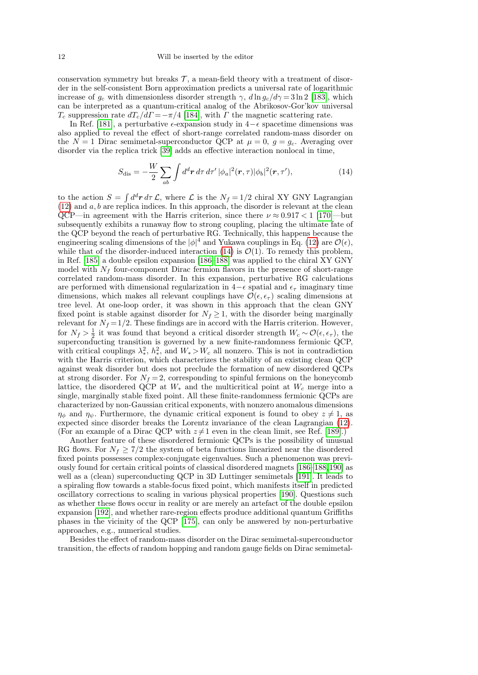conservation symmetry but breaks  $\mathcal{T}$ , a mean-field theory with a treatment of disorder in the self-consistent Born approximation predicts a universal rate of logarithmic increase of  $g_c$  with dimensionless disorder strength  $\gamma$ ,  $d\ln g_c/d\gamma = 3 \ln 2$  [\[183\]](#page-19-10), which can be interpreted as a quantum-critical analog of the Abrikosov-Gor'kov universal  $T_c$  suppression rate  $dT_c/d\Gamma = -\pi/4$  [\[184\]](#page-19-11), with  $\Gamma$  the magnetic scattering rate.

In Ref. [\[181\]](#page-19-8), a perturbative  $\epsilon$ -expansion study in 4− $\epsilon$  spacetime dimensions was also applied to reveal the effect of short-range correlated random-mass disorder on the  $N = 1$  Dirac semimetal-superconductor QCP at  $\mu = 0$ ,  $g = g_c$ . Averaging over disorder via the replica trick [\[39\]](#page-16-0) adds an effective interaction nonlocal in time,

<span id="page-11-0"></span>
$$
S_{\rm dis} = -\frac{W}{2} \sum_{ab} \int d^d \boldsymbol{r} \, d\tau \, d\tau' \, |\phi_a|^2(\boldsymbol{r}, \tau) |\phi_b|^2(\boldsymbol{r}, \tau'), \tag{14}
$$

to the action  $S = \int d^d \mathbf{r} d\tau \mathcal{L}$ , where  $\mathcal{L}$  is the  $N_f = 1/2$  chiral XY GNY Lagrangian  $(12)$  and a, b are replica indices. In this approach, the disorder is relevant at the clean QCP—in agreement with the Harris criterion, since there  $\nu \approx 0.917 < 1$  [\[170\]](#page-18-41)—but subsequently exhibits a runaway flow to strong coupling, placing the ultimate fate of the QCP beyond the reach of perturbative RG. Technically, this happens because the engineering scaling dimensions of the  $|\phi|^4$  and Yukawa couplings in Eq. [\(12\)](#page-9-0) are  $\mathcal{O}(\epsilon)$ , while that of the disorder-induced interaction [\(14\)](#page-11-0) is  $\mathcal{O}(1)$ . To remedy this problem, in Ref. [\[185\]](#page-19-12) a double epsilon expansion [\[186–](#page-19-13)[188\]](#page-19-14) was applied to the chiral XY GNY model with  $N_f$  four-component Dirac fermion flavors in the presence of short-range correlated random-mass disorder. In this expansion, perturbative RG calculations are performed with dimensional regularization in  $4-\epsilon$  spatial and  $\epsilon_{\tau}$  imaginary time dimensions, which makes all relevant couplings have  $\mathcal{O}(\epsilon, \epsilon_{\tau})$  scaling dimensions at tree level. At one-loop order, it was shown in this approach that the clean GNY fixed point is stable against disorder for  $N_f \geq 1$ , with the disorder being marginally relevant for  $N_f = 1/2$ . These findings are in accord with the Harris criterion. However, for  $N_f > \frac{1}{2}$  it was found that beyond a critical disorder strength  $W_c \sim \mathcal{O}(\epsilon, \epsilon_{\tau})$ , the  $2^{2}$  it was found that beyond a critical disorder strength  $W_c^{\text{ex}}(0,0,0)$ , the superconducting transition is governed by a new finite-randomness fermionic QCP, with critical couplings  $\lambda_*^2$  $\frac{2}{\ast}, h^2_{\ast}$ <sup>2</sup>, and  $W_* > W_c$  all nonzero. This is not in contradiction with the Harris criterion, which characterizes the stability of an existing clean QCP against weak disorder but does not preclude the formation of new disordered QCPs at strong disorder. For  $N_f = 2$ , corresponding to spinful fermions on the honeycomb lattice, the disordered QCP at  $W_*$  and the multicritical point at  $W_c$  merge into a single, marginally stable fixed point. All these finite-randomness fermionic QCPs are characterized by non-Gaussian critical exponents, with nonzero anomalous dimensions  $\eta_{\phi}$  and  $\eta_{\psi}$ . Furthermore, the dynamic critical exponent is found to obey  $z \neq 1$ , as expected since disorder breaks the Lorentz invariance of the clean Lagrangian [\(12\)](#page-9-0). (For an example of a Dirac QCP with  $z\neq 1$  even in the clean limit, see Ref. [\[189\]](#page-19-15).)

Another feature of these disordered fermionic QCPs is the possibility of unusual RG flows. For  $N_f \geq 7/2$  the system of beta functions linearized near the disordered fixed points possesses complex-conjugate eigenvalues. Such a phenomenon was previously found for certain critical points of classical disordered magnets [\[186–](#page-19-13)[188,](#page-19-14)[190\]](#page-19-16) as well as a (clean) superconducting QCP in 3D Luttinger semimetals [\[191\]](#page-19-17). It leads to a spiraling flow towards a stable-focus fixed point, which manifests itself in predicted oscillatory corrections to scaling in various physical properties [\[190\]](#page-19-16). Questions such as whether these flows occur in reality or are merely an artefact of the double epsilon expansion [\[192\]](#page-19-18), and whether rare-region effects produce additional quantum Griffiths phases in the vicinity of the QCP [\[175\]](#page-19-4), can only be answered by non-perturbative approaches, e.g., numerical studies.

Besides the effect of random-mass disorder on the Dirac semimetal-superconductor transition, the effects of random hopping and random gauge fields on Dirac semimetal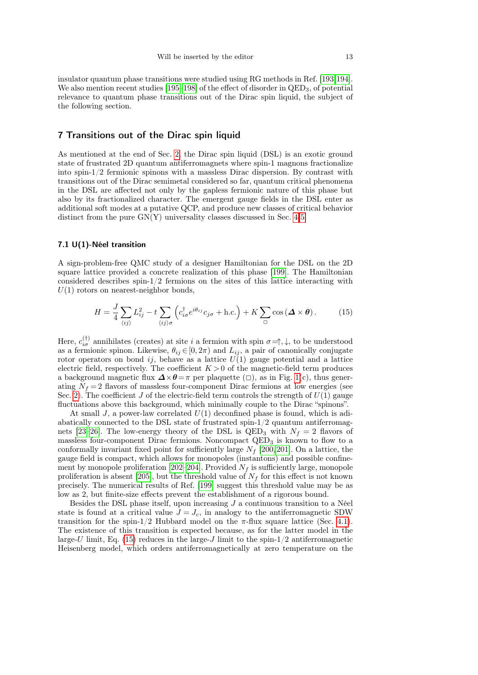insulator quantum phase transitions were studied using RG methods in Ref. [\[193,](#page-19-19)[194\]](#page-19-20). We also mention recent studies  $[195-198]$  $[195-198]$  of the effect of disorder in  $QED_3$ , of potential relevance to quantum phase transitions out of the Dirac spin liquid, the subject of the following section.

# <span id="page-12-0"></span>7 Transitions out of the Dirac spin liquid

As mentioned at the end of Sec. [2,](#page-1-0) the Dirac spin liquid (DSL) is an exotic ground state of frustrated 2D quantum antiferromagnets where spin-1 magnons fractionalize into spin-1/2 fermionic spinons with a massless Dirac dispersion. By contrast with transitions out of the Dirac semimetal considered so far, quantum critical phenomena in the DSL are affected not only by the gapless fermionic nature of this phase but also by its fractionalized character. The emergent gauge fields in the DSL enter as additional soft modes at a putative QCP, and produce new classes of critical behavior distinct from the pure  $GN(Y)$  universality classes discussed in Sec. [4-](#page-5-0)[5.](#page-8-0)

#### <span id="page-12-2"></span>7.1 U(1)-Néel transition

A sign-problem-free QMC study of a designer Hamiltonian for the DSL on the 2D square lattice provided a concrete realization of this phase [\[199\]](#page-19-23). The Hamiltonian considered describes spin-1/2 fermions on the sites of this lattice interacting with  $U(1)$  rotors on nearest-neighbor bonds,

<span id="page-12-1"></span>
$$
H = \frac{J}{4} \sum_{\langle ij \rangle} L_{ij}^2 - t \sum_{\langle ij \rangle \sigma} \left( c_{i\sigma}^\dagger e^{i\theta_{ij}} c_{j\sigma} + \text{h.c.} \right) + K \sum_{\Box} \cos \left( \Delta \times \theta \right). \tag{15}
$$

Here,  $c_{i\sigma}^{(\dagger)}$  annihilates (creates) at site i a fermion with spin  $\sigma = \uparrow, \downarrow$ , to be understood as a fermionic spinon. Likewise,  $\theta_{ij} \in [0, 2\pi)$  and  $L_{ij}$ , a pair of canonically conjugate rotor operators on bond  $ij$ , behave as a lattice  $U(1)$  gauge potential and a lattice electric field, respectively. The coefficient  $K > 0$  of the magnetic-field term produces a background magnetic flux  $\Delta \times \theta = \pi$  per plaquette ( $\Box$ ), as in Fig. [1\(](#page-2-0)c), thus generating  $N_f = 2$  flavors of massless four-component Dirac fermions at low energies (see Sec. [2\)](#page-1-0). The coefficient J of the electric-field term controls the strength of  $U(1)$  gauge fluctuations above this background, which minimally couple to the Dirac "spinons".

At small J, a power-law correlated  $U(1)$  deconfined phase is found, which is adiabatically connected to the DSL state of frustrated  $spin-1/2$  quantum antiferromag-nets [\[23](#page-15-25)[–26\]](#page-15-26). The low-energy theory of the DSL is QED<sub>3</sub> with  $N_f = 2$  flavors of massless four-component Dirac fermions. Noncompact  $QED<sub>3</sub>$  is known to flow to a conformally invariant fixed point for sufficiently large  $N_f$  [\[200,](#page-19-24)[201\]](#page-19-25). On a lattice, the gauge field is compact, which allows for monopoles (instantons) and possible confine-ment by monopole proliferation [\[202–](#page-19-26)[204\]](#page-19-27). Provided  $N_f$  is sufficiently large, monopole proliferation is absent [\[205\]](#page-19-28), but the threshold value of  $N_f$  for this effect is not known precisely. The numerical results of Ref. [\[199\]](#page-19-23) suggest this threshold value may be as low as 2, but finite-size effects prevent the establishment of a rigorous bound.

Besides the DSL phase itself, upon increasing  $J$  a continuous transition to a Néel state is found at a critical value  $J = J_c$ , in analogy to the antiferromagnetic SDW transition for the spin-1/2 Hubbard model on the  $\pi$ -flux square lattice (Sec. [4.1\)](#page-5-2). The existence of this transition is expected because, as for the latter model in the large-U limit, Eq. [\(15\)](#page-12-1) reduces in the large-U limit to the spin- $1/2$  antiferromagnetic Heisenberg model, which orders antiferromagnetically at zero temperature on the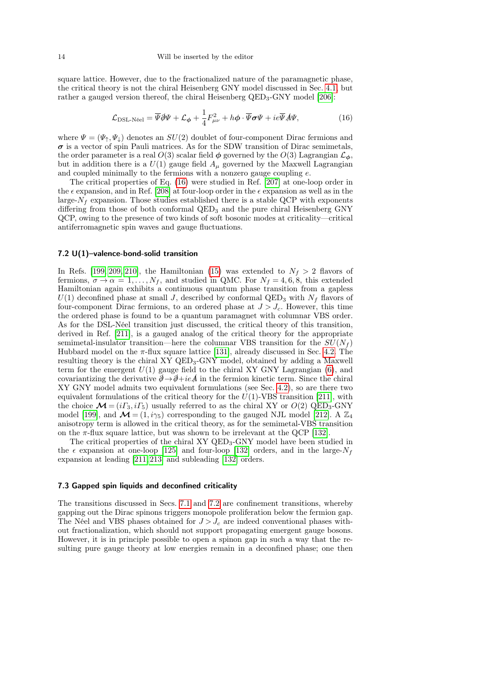square lattice. However, due to the fractionalized nature of the paramagnetic phase, the critical theory is not the chiral Heisenberg GNY model discussed in Sec. [4.1,](#page-5-2) but rather a gauged version thereof, the chiral Heisenberg QED<sub>3</sub>-GNY model [\[206\]](#page-19-29):

<span id="page-13-0"></span>
$$
\mathcal{L}_{\text{DSL-Neel}} = \overline{\Psi} \partial \Psi + \mathcal{L}_{\phi} + \frac{1}{4} F_{\mu\nu}^2 + h \phi \cdot \overline{\Psi} \sigma \Psi + ie \overline{\Psi} A \Psi, \tag{16}
$$

where  $\Psi = (\Psi_{\uparrow}, \Psi_{\downarrow})$  denotes an  $SU(2)$  doublet of four-component Dirac fermions and  $\sigma$  is a vector of spin Pauli matrices. As for the SDW transition of Dirac semimetals, the order parameter is a real  $O(3)$  scalar field  $\phi$  governed by the  $O(3)$  Lagrangian  $\mathcal{L}_{\phi}$ , but in addition there is a  $U(1)$  gauge field  $A_\mu$  governed by the Maxwell Lagrangian and coupled minimally to the fermions with a nonzero gauge coupling  $e$ .

The critical properties of Eq. [\(16\)](#page-13-0) were studied in Ref. [\[207\]](#page-19-30) at one-loop order in the  $\epsilon$  expansion, and in Ref. [\[208\]](#page-19-31) at four-loop order in the  $\epsilon$  expansion as well as in the large- $N_f$  expansion. Those studies established there is a stable QCP with exponents differing from those of both conformal  $\text{QED}_3$  and the pure chiral Heisenberg GNY QCP, owing to the presence of two kinds of soft bosonic modes at criticality—critical antiferromagnetic spin waves and gauge fluctuations.

#### <span id="page-13-1"></span>7.2 U(1)–valence-bond-solid transition

In Refs. [\[199,](#page-19-23) [209,](#page-19-32) [210\]](#page-19-33), the Hamiltonian [\(15\)](#page-12-1) was extended to  $N_f > 2$  flavors of fermions,  $\sigma \to \alpha = 1, \ldots, N_f$ , and studied in QMC. For  $N_f = 4, 6, 8$ , this extended Hamiltonian again exhibits a continuous quantum phase transition from a gapless  $U(1)$  deconfined phase at small J, described by conformal QED<sub>3</sub> with  $N_f$  flavors of four-component Dirac fermions, to an ordered phase at  $J > J_c$ . However, this time the ordered phase is found to be a quantum paramagnet with columnar VBS order. As for the DSL-Néel transition just discussed, the critical theory of this transition, derived in Ref. [\[211\]](#page-19-34), is a gauged analog of the critical theory for the appropriate semimetal-insulator transition—here the columnar VBS transition for the  $SU(N_f)$ Hubbard model on the  $\pi$ -flux square lattice [\[131\]](#page-18-6), already discussed in Sec. [4.2.](#page-6-1) The resulting theory is the chiral XY QED3-GNY model, obtained by adding a Maxwell term for the emergent  $U(1)$  gauge field to the chiral XY GNY Lagrangian [\(6\)](#page-4-1), and covariantizing the derivative  $\partial \rightarrow \partial + ie\mathcal{A}$  in the fermion kinetic term. Since the chiral XY GNY model admits two equivalent formulations (see Sec. [4.2\)](#page-6-1), so are there two equivalent formulations of the critical theory for the  $U(1)$ -VBS transition [\[211\]](#page-19-34), with the choice  $\mathcal{M} = (i\Gamma_3, i\Gamma_5)$  usually referred to as the chiral XY or  $O(2)$  QED<sub>3</sub>-GNY model [\[199\]](#page-19-23), and  $\mathcal{M} = (1, i\gamma_5)$  corresponding to the gauged NJL model [\[212\]](#page-19-35). A  $\mathbb{Z}_4$ anisotropy term is allowed in the critical theory, as for the semimetal-VBS transition on the  $\pi$ -flux square lattice, but was shown to be irrelevant at the QCP [\[132\]](#page-18-7).

The critical properties of the chiral XY QED<sub>3</sub>-GNY model have been studied in the  $\epsilon$  expansion at one-loop [\[125\]](#page-18-0) and four-loop [\[132\]](#page-18-7) orders, and in the large- $N_f$ expansion at leading [\[211,](#page-19-34) [213\]](#page-19-36) and subleading [\[132\]](#page-18-7) orders.

#### 7.3 Gapped spin liquids and deconfined criticality

The transitions discussed in Secs. [7.1](#page-12-2) and [7.2](#page-13-1) are confinement transitions, whereby gapping out the Dirac spinons triggers monopole proliferation below the fermion gap. The Néel and VBS phases obtained for  $J > J_c$  are indeed conventional phases without fractionalization, which should not support propagating emergent gauge bosons. However, it is in principle possible to open a spinon gap in such a way that the resulting pure gauge theory at low energies remain in a deconfined phase; one then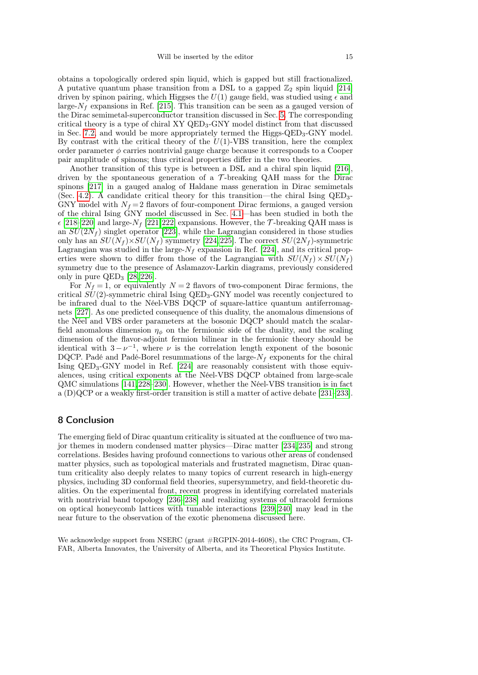obtains a topologically ordered spin liquid, which is gapped but still fractionalized. A putative quantum phase transition from a DSL to a gapped  $\mathbb{Z}_2$  spin liquid [\[214\]](#page-19-37) driven by spinon pairing, which Higgses the  $U(1)$  gauge field, was studied using  $\epsilon$  and large- $N_f$  expansions in Ref. [\[215\]](#page-19-38). This transition can be seen as a gauged version of the Dirac semimetal-superconductor transition discussed in Sec. [5.](#page-8-0) The corresponding critical theory is a type of chiral XY QED3-GNY model distinct from that discussed in Sec. [7.2,](#page-13-1) and would be more appropriately termed the  $Higgs-QED<sub>3</sub>-GNY$  model. By contrast with the critical theory of the  $U(1)$ -VBS transition, here the complex order parameter  $\phi$  carries nontrivial gauge charge because it corresponds to a Cooper pair amplitude of spinons; thus critical properties differ in the two theories.

Another transition of this type is between a DSL and a chiral spin liquid [\[216\]](#page-19-39), driven by the spontaneous generation of a  $\mathcal T$ -breaking QAH mass for the Dirac spinons [\[217\]](#page-19-40) in a gauged analog of Haldane mass generation in Dirac semimetals (Sec. [4.2\)](#page-6-1). A candidate critical theory for this transition—the chiral Ising  $QED_{3}$ -GNY model with  $N_f = 2$  flavors of four-component Dirac fermions, a gauged version of the chiral Ising GNY model discussed in Sec. [4.1—](#page-5-2)has been studied in both the  $\epsilon$  [\[218](#page-19-41)[–220\]](#page-19-42) and large- $N_f$  [\[221,](#page-20-0)[222\]](#page-20-1) expansions. However, the  $\mathcal{T}$ -breaking QAH mass is an  $SU(2N_f)$  singlet operator [\[223\]](#page-20-2), while the Lagrangian considered in those studies only has an  $SU(N_f) \times SU(N_f)$  symmetry [\[224,](#page-20-3) [225\]](#page-20-4). The correct  $SU(2N_f)$ -symmetric Lagrangian was studied in the large- $N_f$  expansion in Ref. [\[224\]](#page-20-3), and its critical properties were shown to differ from those of the Lagrangian with  $SU(N_f) \times SU(N_f)$ symmetry due to the presence of Aslamazov-Larkin diagrams, previously considered only in pure  $QED<sub>3</sub>$  [\[28,](#page-15-19) [226\]](#page-20-5).

For  $N_f = 1$ , or equivalently  $N = 2$  flavors of two-component Dirac fermions, the critical  $SU(2)$ -symmetric chiral Ising QED<sub>3</sub>-GNY model was recently conjectured to be infrared dual to the Néel-VBS DQCP of square-lattice quantum antiferromagnets [\[227\]](#page-20-6). As one predicted consequence of this duality, the anomalous dimensions of the Néel and VBS order parameters at the bosonic DQCP should match the scalarfield anomalous dimension  $\eta_{\phi}$  on the fermionic side of the duality, and the scaling dimension of the flavor-adjoint fermion bilinear in the fermionic theory should be identical with  $3 - \nu^{-1}$ , where  $\nu$  is the correlation length exponent of the bosonic DQCP. Padé and Padé-Borel resummations of the large- $N_f$  exponents for the chiral Ising  $QED_3-GNY$  model in Ref. [\[224\]](#page-20-3) are reasonably consistent with those equivalences, using critical exponents at the Néel-VBS DQCP obtained from large-scale QMC simulations [\[141,](#page-18-16)[228–](#page-20-7)[230\]](#page-20-8). However, whether the Néel-VBS transition is in fact a (D)QCP or a weakly first-order transition is still a matter of active debate [\[231–](#page-20-9)[233\]](#page-20-10).

## <span id="page-14-0"></span>8 Conclusion

The emerging field of Dirac quantum criticality is situated at the confluence of two major themes in modern condensed matter physics—Dirac matter [\[234,](#page-20-11) [235\]](#page-20-12) and strong correlations. Besides having profound connections to various other areas of condensed matter physics, such as topological materials and frustrated magnetism, Dirac quantum criticality also deeply relates to many topics of current research in high-energy physics, including 3D conformal field theories, supersymmetry, and field-theoretic dualities. On the experimental front, recent progress in identifying correlated materials with nontrivial band topology [\[236–](#page-20-13)[238\]](#page-20-14) and realizing systems of ultracold fermions on optical honeycomb lattices with tunable interactions [\[239,](#page-20-15) [240\]](#page-20-16) may lead in the near future to the observation of the exotic phenomena discussed here.

We acknowledge support from NSERC (grant #RGPIN-2014-4608), the CRC Program, CI-FAR, Alberta Innovates, the University of Alberta, and its Theoretical Physics Institute.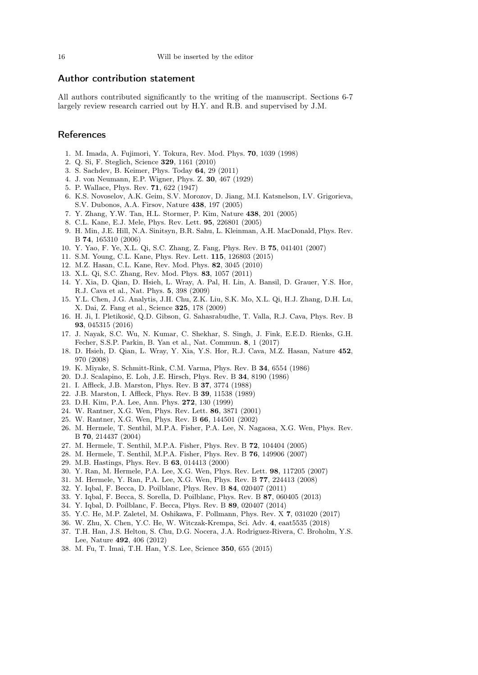## Author contribution statement

All authors contributed significantly to the writing of the manuscript. Sections 6-7 largely review research carried out by H.Y. and R.B. and supervised by J.M.

# **References**

- <span id="page-15-0"></span>1. M. Imada, A. Fujimori, Y. Tokura, Rev. Mod. Phys. 70, 1039 (1998)
- <span id="page-15-1"></span>2. Q. Si, F. Steglich, Science 329, 1161 (2010)
- <span id="page-15-2"></span>3. S. Sachdev, B. Keimer, Phys. Today 64, 29 (2011)
- <span id="page-15-3"></span>4. J. von Neumann, E.P. Wigner, Phys. Z. 30, 467 (1929)
- <span id="page-15-4"></span>5. P. Wallace, Phys. Rev. 71, 622 (1947)
- 6. K.S. Novoselov, A.K. Geim, S.V. Morozov, D. Jiang, M.I. Katsnelson, I.V. Grigorieva, S.V. Dubonos, A.A. Firsov, Nature 438, 197 (2005)
- <span id="page-15-5"></span>7. Y. Zhang, Y.W. Tan, H.L. Stormer, P. Kim, Nature 438, 201 (2005)
- <span id="page-15-6"></span>8. C.L. Kane, E.J. Mele, Phys. Rev. Lett. 95, 226801 (2005)
- 9. H. Min, J.E. Hill, N.A. Sinitsyn, B.R. Sahu, L. Kleinman, A.H. MacDonald, Phys. Rev. B 74, 165310 (2006)
- <span id="page-15-7"></span>10. Y. Yao, F. Ye, X.L. Qi, S.C. Zhang, Z. Fang, Phys. Rev. B 75, 041401 (2007)
- <span id="page-15-8"></span>11. S.M. Young, C.L. Kane, Phys. Rev. Lett. 115, 126803 (2015)
- <span id="page-15-9"></span>12. M.Z. Hasan, C.L. Kane, Rev. Mod. Phys. 82, 3045 (2010)
- <span id="page-15-10"></span>13. X.L. Qi, S.C. Zhang, Rev. Mod. Phys. 83, 1057 (2011)
- <span id="page-15-11"></span>14. Y. Xia, D. Qian, D. Hsieh, L. Wray, A. Pal, H. Lin, A. Bansil, D. Grauer, Y.S. Hor, R.J. Cava et al., Nat. Phys. 5, 398 (2009)
- <span id="page-15-12"></span>15. Y.L. Chen, J.G. Analytis, J.H. Chu, Z.K. Liu, S.K. Mo, X.L. Qi, H.J. Zhang, D.H. Lu, X. Dai, Z. Fang et al., Science 325, 178 (2009)
- <span id="page-15-13"></span>16. H. Ji, I. Pletikosić, Q.D. Gibson, G. Sahasrabudhe, T. Valla, R.J. Cava, Phys. Rev. B 93, 045315 (2016)
- <span id="page-15-14"></span>17. J. Nayak, S.C. Wu, N. Kumar, C. Shekhar, S. Singh, J. Fink, E.E.D. Rienks, G.H. Fecher, S.S.P. Parkin, B. Yan et al., Nat. Commun. 8, 1 (2017)
- <span id="page-15-15"></span>18. D. Hsieh, D. Qian, L. Wray, Y. Xia, Y.S. Hor, R.J. Cava, M.Z. Hasan, Nature 452, 970 (2008)
- <span id="page-15-16"></span>19. K. Miyake, S. Schmitt-Rink, C.M. Varma, Phys. Rev. B 34, 6554 (1986)
- <span id="page-15-17"></span>20. D.J. Scalapino, E. Loh, J.E. Hirsch, Phys. Rev. B 34, 8190 (1986)
- <span id="page-15-18"></span>21. I. Affleck, J.B. Marston, Phys. Rev. B 37, 3774 (1988)
- <span id="page-15-24"></span>22. J.B. Marston, I. Affleck, Phys. Rev. B 39, 11538 (1989)
- <span id="page-15-25"></span>23. D.H. Kim, P.A. Lee, Ann. Phys. 272, 130 (1999)
- 24. W. Rantner, X.G. Wen, Phys. Rev. Lett. 86, 3871 (2001)
- 25. W. Rantner, X.G. Wen, Phys. Rev. B 66, 144501 (2002)
- <span id="page-15-26"></span>26. M. Hermele, T. Senthil, M.P.A. Fisher, P.A. Lee, N. Nagaosa, X.G. Wen, Phys. Rev. B 70, 214437 (2004)
- 27. M. Hermele, T. Senthil, M.P.A. Fisher, Phys. Rev. B 72, 104404 (2005)
- <span id="page-15-19"></span>28. M. Hermele, T. Senthil, M.P.A. Fisher, Phys. Rev. B 76, 149906 (2007)
- <span id="page-15-20"></span>29. M.B. Hastings, Phys. Rev. B 63, 014413 (2000)
- 30. Y. Ran, M. Hermele, P.A. Lee, X.G. Wen, Phys. Rev. Lett. 98, 117205 (2007)
- 31. M. Hermele, Y. Ran, P.A. Lee, X.G. Wen, Phys. Rev. B 77, 224413 (2008)
- 32. Y. Iqbal, F. Becca, D. Poilblanc, Phys. Rev. B 84, 020407 (2011)
- 33. Y. Iqbal, F. Becca, S. Sorella, D. Poilblanc, Phys. Rev. B 87, 060405 (2013)
- 34. Y. Iqbal, D. Poilblanc, F. Becca, Phys. Rev. B 89, 020407 (2014)
- 35. Y.C. He, M.P. Zaletel, M. Oshikawa, F. Pollmann, Phys. Rev. X 7, 031020 (2017)
- <span id="page-15-21"></span>36. W. Zhu, X. Chen, Y.C. He, W. Witczak-Krempa, Sci. Adv. 4, eaat5535 (2018)
- <span id="page-15-22"></span>37. T.H. Han, J.S. Helton, S. Chu, D.G. Nocera, J.A. Rodriguez-Rivera, C. Broholm, Y.S. Lee, Nature 492, 406 (2012)
- <span id="page-15-23"></span>38. M. Fu, T. Imai, T.H. Han, Y.S. Lee, Science 350, 655 (2015)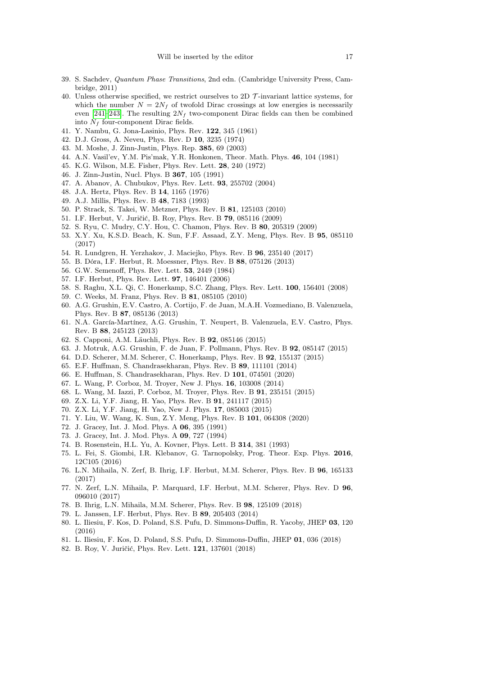- <span id="page-16-0"></span>39. S. Sachdev, Quantum Phase Transitions, 2nd edn. (Cambridge University Press, Cambridge, 2011)
- <span id="page-16-1"></span>40. Unless otherwise specified, we restrict ourselves to 2D  $\mathcal{T}$ -invariant lattice systems, for which the number  $N = 2N_f$  of twofold Dirac crossings at low energies is necessarily even [\[241–](#page-20-17)[243\]](#page-20-18). The resulting  $2N_f$  two-component Dirac fields can then be combined into  $N_f$  four-component Dirac fields.
- <span id="page-16-2"></span>41. Y. Nambu, G. Jona-Lasinio, Phys. Rev. 122, 345 (1961)
- <span id="page-16-3"></span>42. D.J. Gross, A. Neveu, Phys. Rev. D 10, 3235 (1974)
- <span id="page-16-4"></span>43. M. Moshe, J. Zinn-Justin, Phys. Rep. 385, 69 (2003)
- <span id="page-16-5"></span>44. A.N. Vasil'ev, Y.M. Pis'mak, Y.R. Honkonen, Theor. Math. Phys. 46, 104 (1981)
- <span id="page-16-6"></span>45. K.G. Wilson, M.E. Fisher, Phys. Rev. Lett. 28, 240 (1972)
- <span id="page-16-7"></span>46. J. Zinn-Justin, Nucl. Phys. B 367, 105 (1991)
- <span id="page-16-8"></span>47. A. Abanov, A. Chubukov, Phys. Rev. Lett. 93, 255702 (2004)
- <span id="page-16-9"></span>48. J.A. Hertz, Phys. Rev. B 14, 1165 (1976)
- <span id="page-16-10"></span>49. A.J. Millis, Phys. Rev. B 48, 7183 (1993)
- <span id="page-16-11"></span>50. P. Strack, S. Takei, W. Metzner, Phys. Rev. B 81, 125103 (2010)
- <span id="page-16-12"></span>51. I.F. Herbut, V. Juričić, B. Roy, Phys. Rev. B 79, 085116 (2009)
- <span id="page-16-13"></span>52. S. Ryu, C. Mudry, C.Y. Hou, C. Chamon, Phys. Rev. B 80, 205319 (2009)
- <span id="page-16-14"></span>53. X.Y. Xu, K.S.D. Beach, K. Sun, F.F. Assaad, Z.Y. Meng, Phys. Rev. B 95, 085110 (2017)
- <span id="page-16-15"></span>54. R. Lundgren, H. Yerzhakov, J. Maciejko, Phys. Rev. B 96, 235140 (2017)
- <span id="page-16-16"></span>55. B. Dóra, I.F. Herbut, R. Moessner, Phys. Rev. B 88, 075126 (2013)
- <span id="page-16-17"></span>56. G.W. Semenoff, Phys. Rev. Lett. 53, 2449 (1984)
- <span id="page-16-18"></span>57. I.F. Herbut, Phys. Rev. Lett. 97, 146401 (2006)
- <span id="page-16-39"></span>58. S. Raghu, X.L. Qi, C. Honerkamp, S.C. Zhang, Phys. Rev. Lett. 100, 156401 (2008)
- 59. C. Weeks, M. Franz, Phys. Rev. B 81, 085105 (2010)
- <span id="page-16-19"></span>60. A.G. Grushin, E.V. Castro, A. Cortijo, F. de Juan, M.A.H. Vozmediano, B. Valenzuela, Phys. Rev. B 87, 085136 (2013)
- <span id="page-16-20"></span>61. N.A. García-Martínez, A.G. Grushin, T. Neupert, B. Valenzuela, E.V. Castro, Phys. Rev. B 88, 245123 (2013)
- <span id="page-16-21"></span>62. S. Capponi, A.M. Läuchli, Phys. Rev. B 92, 085146 (2015)
- <span id="page-16-22"></span>63. J. Motruk, A.G. Grushin, F. de Juan, F. Pollmann, Phys. Rev. B 92, 085147 (2015)
- <span id="page-16-23"></span>64. D.D. Scherer, M.M. Scherer, C. Honerkamp, Phys. Rev. B 92, 155137 (2015)
- <span id="page-16-24"></span>65. E.F. Huffman, S. Chandrasekharan, Phys. Rev. B 89, 111101 (2014)
- <span id="page-16-25"></span>66. E. Huffman, S. Chandrasekharan, Phys. Rev. D 101, 074501 (2020)
- <span id="page-16-26"></span>67. L. Wang, P. Corboz, M. Troyer, New J. Phys. 16, 103008 (2014)
- <span id="page-16-27"></span>68. L. Wang, M. Iazzi, P. Corboz, M. Troyer, Phys. Rev. B 91, 235151 (2015)
- <span id="page-16-28"></span>69. Z.X. Li, Y.F. Jiang, H. Yao, Phys. Rev. B 91, 241117 (2015)
- <span id="page-16-29"></span>70. Z.X. Li, Y.F. Jiang, H. Yao, New J. Phys. 17, 085003 (2015)
- <span id="page-16-30"></span>71. Y. Liu, W. Wang, K. Sun, Z.Y. Meng, Phys. Rev. B 101, 064308 (2020)
- <span id="page-16-31"></span>72. J. Gracey, Int. J. Mod. Phys. A 06, 395 (1991)
- <span id="page-16-32"></span>73. J. Gracey, Int. J. Mod. Phys. A 09, 727 (1994)
- <span id="page-16-33"></span>74. B. Rosenstein, H.L. Yu, A. Kovner, Phys. Lett. B 314, 381 (1993)
- <span id="page-16-41"></span>75. L. Fei, S. Giombi, I.R. Klebanov, G. Tarnopolsky, Prog. Theor. Exp. Phys. 2016, 12C105 (2016)
- 76. L.N. Mihaila, N. Zerf, B. Ihrig, I.F. Herbut, M.M. Scherer, Phys. Rev. B 96, 165133 (2017)
- <span id="page-16-40"></span>77. N. Zerf, L.N. Mihaila, P. Marquard, I.F. Herbut, M.M. Scherer, Phys. Rev. D 96, 096010 (2017)
- <span id="page-16-34"></span>78. B. Ihrig, L.N. Mihaila, M.M. Scherer, Phys. Rev. B 98, 125109 (2018)
- <span id="page-16-35"></span>79. L. Janssen, I.F. Herbut, Phys. Rev. B 89, 205403 (2014)
- <span id="page-16-36"></span>80. L. Iliesiu, F. Kos, D. Poland, S.S. Pufu, D. Simmons-Duffin, R. Yacoby, JHEP 03, 120 (2016)
- <span id="page-16-37"></span>81. L. Iliesiu, F. Kos, D. Poland, S.S. Pufu, D. Simmons-Duffin, JHEP 01, 036 (2018)
- <span id="page-16-38"></span>82. B. Roy, V. Juričić, Phys. Rev. Lett. 121, 137601 (2018)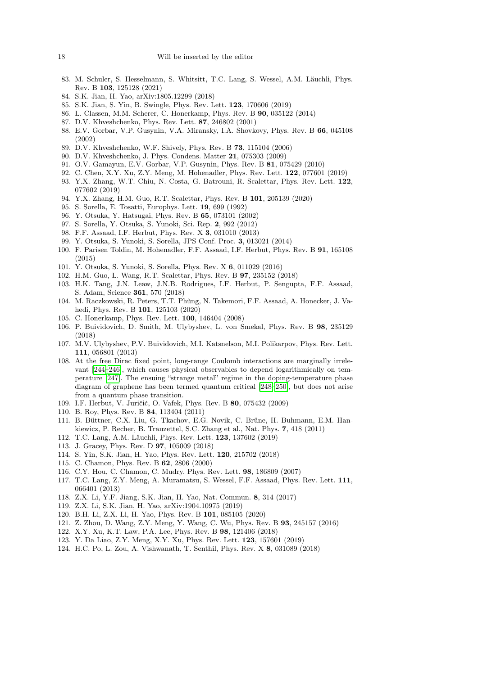- <span id="page-17-0"></span>83. M. Schuler, S. Hesselmann, S. Whitsitt, T.C. Lang, S. Wessel, A.M. Läuchli, Phys. Rev. B 103, 125128 (2021)
- <span id="page-17-1"></span>84. S.K. Jian, H. Yao, arXiv:1805.12299 (2018)
- <span id="page-17-2"></span>85. S.K. Jian, S. Yin, B. Swingle, Phys. Rev. Lett. 123, 170606 (2019)
- <span id="page-17-3"></span>86. L. Classen, M.M. Scherer, C. Honerkamp, Phys. Rev. B 90, 035122 (2014)
- <span id="page-17-4"></span>87. D.V. Khveshchenko, Phys. Rev. Lett. 87, 246802 (2001)
- 88. E.V. Gorbar, V.P. Gusynin, V.A. Miransky, I.A. Shovkovy, Phys. Rev. B 66, 045108 (2002)
- 89. D.V. Khveshchenko, W.F. Shively, Phys. Rev. B 73, 115104 (2006)
- 90. D.V. Khveshchenko, J. Phys. Condens. Matter 21, 075303 (2009)
- <span id="page-17-5"></span>91. O.V. Gamayun, E.V. Gorbar, V.P. Gusynin, Phys. Rev. B 81, 075429 (2010)
- <span id="page-17-6"></span>92. C. Chen, X.Y. Xu, Z.Y. Meng, M. Hohenadler, Phys. Rev. Lett. 122, 077601 (2019)
- <span id="page-17-7"></span>93. Y.X. Zhang, W.T. Chiu, N. Costa, G. Batrouni, R. Scalettar, Phys. Rev. Lett. 122, 077602 (2019)
- <span id="page-17-8"></span>94. Y.X. Zhang, H.M. Guo, R.T. Scalettar, Phys. Rev. B 101, 205139 (2020)
- <span id="page-17-9"></span>95. S. Sorella, E. Tosatti, Europhys. Lett. 19, 699 (1992)
- 96. Y. Otsuka, Y. Hatsugai, Phys. Rev. B 65, 073101 (2002)
- 97. S. Sorella, Y. Otsuka, S. Yunoki, Sci. Rep. 2, 992 (2012)
- 98. F.F. Assaad, I.F. Herbut, Phys. Rev. X 3, 031010 (2013)
- 99. Y. Otsuka, S. Yunoki, S. Sorella, JPS Conf. Proc. 3, 013021 (2014)
- 100. F. Parisen Toldin, M. Hohenadler, F.F. Assaad, I.F. Herbut, Phys. Rev. B 91, 165108 (2015)
- 101. Y. Otsuka, S. Yunoki, S. Sorella, Phys. Rev. X 6, 011029 (2016)
- 102. H.M. Guo, L. Wang, R.T. Scalettar, Phys. Rev. B 97, 235152 (2018)
- <span id="page-17-10"></span>103. H.K. Tang, J.N. Leaw, J.N.B. Rodrigues, I.F. Herbut, P. Sengupta, F.F. Assaad, S. Adam, Science 361, 570 (2018)
- <span id="page-17-11"></span>104. M. Raczkowski, R. Peters, T.T. Phùng, N. Takemori, F.F. Assaad, A. Honecker, J. Vahedi, Phys. Rev. B 101, 125103 (2020)
- <span id="page-17-12"></span>105. C. Honerkamp, Phys. Rev. Lett. 100, 146404 (2008)
- <span id="page-17-13"></span>106. P. Buividovich, D. Smith, M. Ulybyshev, L. von Smekal, Phys. Rev. B 98, 235129 (2018)
- <span id="page-17-14"></span>107. M.V. Ulybyshev, P.V. Buividovich, M.I. Katsnelson, M.I. Polikarpov, Phys. Rev. Lett. 111, 056801 (2013)
- <span id="page-17-15"></span>108. At the free Dirac fixed point, long-range Coulomb interactions are marginally irrelevant [\[244](#page-20-19)[–246\]](#page-20-20), which causes physical observables to depend logarithmically on temperature [\[247\]](#page-20-21). The ensuing "strange metal" regime in the doping-temperature phase diagram of graphene has been termed quantum critical [\[248](#page-20-22)[–250\]](#page-20-23), but does not arise from a quantum phase transition.
- <span id="page-17-16"></span>109. I.F. Herbut, V. Juričić, O. Vafek, Phys. Rev. B 80, 075432 (2009)
- <span id="page-17-17"></span>110. B. Roy, Phys. Rev. B 84, 113404 (2011)
- <span id="page-17-18"></span>111. B. Büttner, C.X. Liu, G. Tkachov, E.G. Novik, C. Brüne, H. Buhmann, E.M. Hankiewicz, P. Recher, B. Trauzettel, S.C. Zhang et al., Nat. Phys. 7, 418 (2011)
- <span id="page-17-19"></span>112. T.C. Lang, A.M. Läuchli, Phys. Rev. Lett. 123, 137602 (2019)
- <span id="page-17-20"></span>113. J. Gracey, Phys. Rev. D 97, 105009 (2018)
- <span id="page-17-21"></span>114. S. Yin, S.K. Jian, H. Yao, Phys. Rev. Lett. 120, 215702 (2018)
- <span id="page-17-22"></span>115. C. Chamon, Phys. Rev. B 62, 2806 (2000)
- <span id="page-17-23"></span>116. C.Y. Hou, C. Chamon, C. Mudry, Phys. Rev. Lett. 98, 186809 (2007)
- <span id="page-17-24"></span>117. T.C. Lang, Z.Y. Meng, A. Muramatsu, S. Wessel, F.F. Assaad, Phys. Rev. Lett. 111, 066401 (2013)
- <span id="page-17-30"></span>118. Z.X. Li, Y.F. Jiang, S.K. Jian, H. Yao, Nat. Commun. 8, 314 (2017)
- <span id="page-17-31"></span>119. Z.X. Li, S.K. Jian, H. Yao, arXiv:1904.10975 (2019)
- <span id="page-17-25"></span>120. B.H. Li, Z.X. Li, H. Yao, Phys. Rev. B 101, 085105 (2020)
- <span id="page-17-26"></span>121. Z. Zhou, D. Wang, Z.Y. Meng, Y. Wang, C. Wu, Phys. Rev. B 93, 245157 (2016)
- <span id="page-17-27"></span>122. X.Y. Xu, K.T. Law, P.A. Lee, Phys. Rev. B 98, 121406 (2018)
- <span id="page-17-28"></span>123. Y. Da Liao, Z.Y. Meng, X.Y. Xu, Phys. Rev. Lett. 123, 157601 (2019)
- <span id="page-17-29"></span>124. H.C. Po, L. Zou, A. Vishwanath, T. Senthil, Phys. Rev. X 8, 031089 (2018)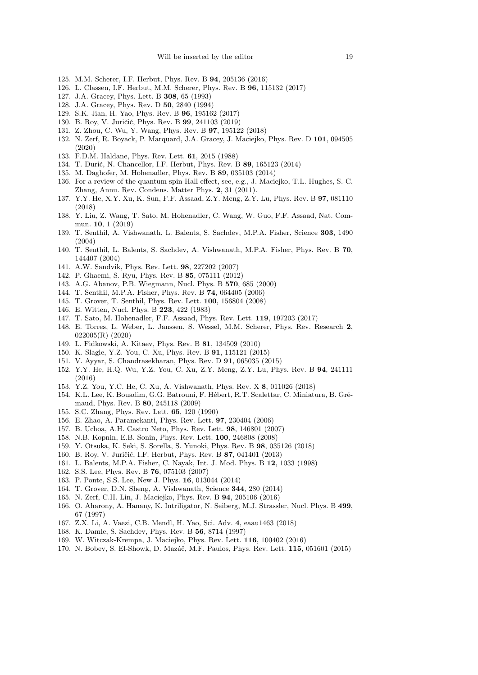- <span id="page-18-0"></span>125. M.M. Scherer, I.F. Herbut, Phys. Rev. B 94, 205136 (2016)
- <span id="page-18-1"></span>126. L. Classen, I.F. Herbut, M.M. Scherer, Phys. Rev. B 96, 115132 (2017)
- <span id="page-18-2"></span>127. J.A. Gracey, Phys. Lett. B 308, 65 (1993)
- <span id="page-18-3"></span>128. J.A. Gracey, Phys. Rev. D 50, 2840 (1994)
- <span id="page-18-4"></span>129. S.K. Jian, H. Yao, Phys. Rev. B 96, 195162 (2017)
- <span id="page-18-5"></span>130. B. Roy, V. Juričić, Phys. Rev. B 99, 241103 (2019)
- <span id="page-18-6"></span>131. Z. Zhou, C. Wu, Y. Wang, Phys. Rev. B 97, 195122 (2018)
- <span id="page-18-7"></span>132. N. Zerf, R. Boyack, P. Marquard, J.A. Gracey, J. Maciejko, Phys. Rev. D 101, 094505 (2020)
- <span id="page-18-8"></span>133. F.D.M. Haldane, Phys. Rev. Lett. 61, 2015 (1988)
- <span id="page-18-9"></span>134. T. Ðurić, N. Chancellor, I.F. Herbut, Phys. Rev. B 89, 165123 (2014)
- <span id="page-18-10"></span>135. M. Daghofer, M. Hohenadler, Phys. Rev. B 89, 035103 (2014)
- <span id="page-18-11"></span>136. For a review of the quantum spin Hall effect, see, e.g., J. Maciejko, T.L. Hughes, S.-C. Zhang, Annu. Rev. Condens. Matter Phys. 2, 31 (2011).
- <span id="page-18-12"></span>137. Y.Y. He, X.Y. Xu, K. Sun, F.F. Assaad, Z.Y. Meng, Z.Y. Lu, Phys. Rev. B 97, 081110 (2018)
- <span id="page-18-13"></span>138. Y. Liu, Z. Wang, T. Sato, M. Hohenadler, C. Wang, W. Guo, F.F. Assaad, Nat. Commun. 10, 1 (2019)
- <span id="page-18-14"></span>139. T. Senthil, A. Vishwanath, L. Balents, S. Sachdev, M.P.A. Fisher, Science 303, 1490 (2004)
- <span id="page-18-15"></span>140. T. Senthil, L. Balents, S. Sachdev, A. Vishwanath, M.P.A. Fisher, Phys. Rev. B 70, 144407 (2004)
- <span id="page-18-16"></span>141. A.W. Sandvik, Phys. Rev. Lett. 98, 227202 (2007)
- <span id="page-18-17"></span>142. P. Ghaemi, S. Ryu, Phys. Rev. B 85, 075111 (2012)
- <span id="page-18-18"></span>143. A.G. Abanov, P.B. Wiegmann, Nucl. Phys. B 570, 685 (2000)
- <span id="page-18-19"></span>144. T. Senthil, M.P.A. Fisher, Phys. Rev. B 74, 064405 (2006)
- <span id="page-18-20"></span>145. T. Grover, T. Senthil, Phys. Rev. Lett. 100, 156804 (2008)
- <span id="page-18-21"></span>146. E. Witten, Nucl. Phys. B 223, 422 (1983)
- <span id="page-18-22"></span>147. T. Sato, M. Hohenadler, F.F. Assaad, Phys. Rev. Lett. 119, 197203 (2017)
- <span id="page-18-23"></span>148. E. Torres, L. Weber, L. Janssen, S. Wessel, M.M. Scherer, Phys. Rev. Research 2, 022005(R) (2020)
- <span id="page-18-24"></span>149. L. Fidkowski, A. Kitaev, Phys. Rev. B 81, 134509 (2010)
- <span id="page-18-25"></span>150. K. Slagle, Y.Z. You, C. Xu, Phys. Rev. B 91, 115121 (2015)
- 151. V. Ayyar, S. Chandrasekharan, Phys. Rev. D 91, 065035 (2015)
- <span id="page-18-26"></span>152. Y.Y. He, H.Q. Wu, Y.Z. You, C. Xu, Z.Y. Meng, Z.Y. Lu, Phys. Rev. B 94, 241111 (2016)
- <span id="page-18-27"></span>153. Y.Z. You, Y.C. He, C. Xu, A. Vishwanath, Phys. Rev. X 8, 011026 (2018)
- <span id="page-18-28"></span>154. K.L. Lee, K. Bouadim, G.G. Batrouni, F. Hébert, R.T. Scalettar, C. Miniatura, B. Grémaud, Phys. Rev. B 80, 245118 (2009)
- <span id="page-18-29"></span>155. S.C. Zhang, Phys. Rev. Lett. 65, 120 (1990)
- <span id="page-18-30"></span>156. E. Zhao, A. Paramekanti, Phys. Rev. Lett. 97, 230404 (2006)
- 157. B. Uchoa, A.H. Castro Neto, Phys. Rev. Lett. 98, 146801 (2007)
- <span id="page-18-31"></span>158. N.B. Kopnin, E.B. Sonin, Phys. Rev. Lett. 100, 246808 (2008)
- <span id="page-18-32"></span>159. Y. Otsuka, K. Seki, S. Sorella, S. Yunoki, Phys. Rev. B 98, 035126 (2018)
- <span id="page-18-33"></span>160. B. Roy, V. Juričić, I.F. Herbut, Phys. Rev. B 87, 041401 (2013)
- <span id="page-18-34"></span>161. L. Balents, M.P.A. Fisher, C. Nayak, Int. J. Mod. Phys. B 12, 1033 (1998)
- 162. S.S. Lee, Phys. Rev. B 76, 075103 (2007)
- 163. P. Ponte, S.S. Lee, New J. Phys. 16, 013044 (2014)
- <span id="page-18-35"></span>164. T. Grover, D.N. Sheng, A. Vishwanath, Science 344, 280 (2014)
- <span id="page-18-36"></span>165. N. Zerf, C.H. Lin, J. Maciejko, Phys. Rev. B 94, 205106 (2016)
- <span id="page-18-37"></span>166. O. Aharony, A. Hanany, K. Intriligator, N. Seiberg, M.J. Strassler, Nucl. Phys. B 499, 67 (1997)
- <span id="page-18-38"></span>167. Z.X. Li, A. Vaezi, C.B. Mendl, H. Yao, Sci. Adv. 4, eaau1463 (2018)
- <span id="page-18-39"></span>168. K. Damle, S. Sachdev, Phys. Rev. B 56, 8714 (1997)
- <span id="page-18-40"></span>169. W. Witczak-Krempa, J. Maciejko, Phys. Rev. Lett. 116, 100402 (2016)
- <span id="page-18-41"></span>170. N. Bobev, S. El-Showk, D. Mazáč, M.F. Paulos, Phys. Rev. Lett. 115, 051601 (2015)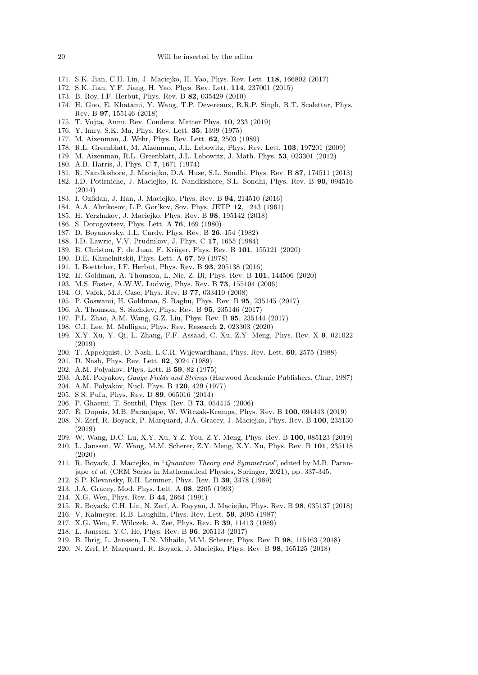- <span id="page-19-0"></span>171. S.K. Jian, C.H. Lin, J. Maciejko, H. Yao, Phys. Rev. Lett. 118, 166802 (2017)
- <span id="page-19-1"></span>172. S.K. Jian, Y.F. Jiang, H. Yao, Phys. Rev. Lett. 114, 237001 (2015)
- <span id="page-19-2"></span>173. B. Roy, I.F. Herbut, Phys. Rev. B 82, 035429 (2010)
- <span id="page-19-3"></span>174. H. Guo, E. Khatami, Y. Wang, T.P. Devereaux, R.R.P. Singh, R.T. Scalettar, Phys. Rev. B 97, 155146 (2018)
- <span id="page-19-4"></span>175. T. Vojta, Annu. Rev. Condens. Matter Phys. 10, 233 (2019)
- <span id="page-19-5"></span>176. Y. Imry, S.K. Ma, Phys. Rev. Lett. 35, 1399 (1975)
- 177. M. Aizenman, J. Wehr, Phys. Rev. Lett. 62, 2503 (1989)
- 178. R.L. Greenblatt, M. Aizenman, J.L. Lebowitz, Phys. Rev. Lett. 103, 197201 (2009)
- <span id="page-19-6"></span>179. M. Aizenman, R.L. Greenblatt, J.L. Lebowitz, J. Math. Phys. 53, 023301 (2012)
- <span id="page-19-7"></span>180. A.B. Harris, J. Phys. C 7, 1671 (1974)
- <span id="page-19-8"></span>181. R. Nandkishore, J. Maciejko, D.A. Huse, S.L. Sondhi, Phys. Rev. B 87, 174511 (2013)
- <span id="page-19-9"></span>182. I.D. Potirniche, J. Maciejko, R. Nandkishore, S.L. Sondhi, Phys. Rev. B 90, 094516 (2014)
- <span id="page-19-10"></span>183. I. Ozfidan, J. Han, J. Maciejko, Phys. Rev. B 94, 214510 (2016)
- <span id="page-19-11"></span>184. A.A. Abrikosov, L.P. Gor'kov, Sov. Phys. JETP 12, 1243 (1961)
- <span id="page-19-12"></span>185. H. Yerzhakov, J. Maciejko, Phys. Rev. B 98, 195142 (2018)
- <span id="page-19-13"></span>186. S. Dorogovtsev, Phys. Lett. A 76, 169 (1980)
- 187. D. Boyanovsky, J.L. Cardy, Phys. Rev. B 26, 154 (1982)
- <span id="page-19-14"></span>188. I.D. Lawrie, V.V. Prudnikov, J. Phys. C 17, 1655 (1984)
- <span id="page-19-15"></span>189. E. Christou, F. de Juan, F. Krüger, Phys. Rev. B 101, 155121 (2020)
- <span id="page-19-16"></span>190. D.E. Khmelnitskii, Phys. Lett. A 67, 59 (1978)
- <span id="page-19-17"></span>191. I. Boettcher, I.F. Herbut, Phys. Rev. B 93, 205138 (2016)
- <span id="page-19-18"></span>192. H. Goldman, A. Thomson, L. Nie, Z. Bi, Phys. Rev. B 101, 144506 (2020)
- <span id="page-19-19"></span>193. M.S. Foster, A.W.W. Ludwig, Phys. Rev. B 73, 155104 (2006)
- <span id="page-19-20"></span>194. O. Vafek, M.J. Case, Phys. Rev. B 77, 033410 (2008)
- <span id="page-19-21"></span>195. P. Goswami, H. Goldman, S. Raghu, Phys. Rev. B 95, 235145 (2017)
- 196. A. Thomson, S. Sachdev, Phys. Rev. B 95, 235146 (2017)
- 197. P.L. Zhao, A.M. Wang, G.Z. Liu, Phys. Rev. B 95, 235144 (2017)
- <span id="page-19-22"></span>198. C.J. Lee, M. Mulligan, Phys. Rev. Research 2, 023303 (2020)
- <span id="page-19-23"></span>199. X.Y. Xu, Y. Qi, L. Zhang, F.F. Assaad, C. Xu, Z.Y. Meng, Phys. Rev. X 9, 021022 (2019)
- <span id="page-19-24"></span>200. T. Appelquist, D. Nash, L.C.R. Wijewardhana, Phys. Rev. Lett. 60, 2575 (1988)
- <span id="page-19-25"></span>201. D. Nash, Phys. Rev. Lett. 62, 3024 (1989)
- <span id="page-19-26"></span>202. A.M. Polyakov, Phys. Lett. B 59, 82 (1975)
- 203. A.M. Polyakov, Gauge Fields and Strings (Harwood Academic Publishers, Chur, 1987)
- <span id="page-19-27"></span>204. A.M. Polyakov, Nucl. Phys. B 120, 429 (1977)
- <span id="page-19-28"></span>205. S.S. Pufu, Phys. Rev. D 89, 065016 (2014)
- <span id="page-19-29"></span>206. P. Ghaemi, T. Senthil, Phys. Rev. B 73, 054415 (2006)
- <span id="page-19-30"></span>207. É. Dupuis, M.B. Paranjape, W. Witczak-Krempa, Phys. Rev. B 100, 094443 (2019)
- <span id="page-19-31"></span>208. N. Zerf, R. Boyack, P. Marquard, J.A. Gracey, J. Maciejko, Phys. Rev. B 100, 235130 (2019)
- <span id="page-19-32"></span>209. W. Wang, D.C. Lu, X.Y. Xu, Y.Z. You, Z.Y. Meng, Phys. Rev. B 100, 085123 (2019)
- <span id="page-19-33"></span>210. L. Janssen, W. Wang, M.M. Scherer, Z.Y. Meng, X.Y. Xu, Phys. Rev. B 101, 235118 (2020)
- <span id="page-19-34"></span>211. R. Boyack, J. Maciejko, in "Quantum Theory and Symmetries", edited by M.B. Paranjape et al. (CRM Series in Mathematical Physics, Springer, 2021), pp. 337-345.
- <span id="page-19-35"></span>212. S.P. Klevansky, R.H. Lemmer, Phys. Rev. D 39, 3478 (1989)
- <span id="page-19-36"></span>213. J.A. Gracey, Mod. Phys. Lett. A 08, 2205 (1993)
- <span id="page-19-37"></span>214. X.G. Wen, Phys. Rev. B 44, 2664 (1991)
- <span id="page-19-38"></span>215. R. Boyack, C.H. Lin, N. Zerf, A. Rayyan, J. Maciejko, Phys. Rev. B 98, 035137 (2018)
- <span id="page-19-39"></span>216. V. Kalmeyer, R.B. Laughlin, Phys. Rev. Lett. 59, 2095 (1987)
- <span id="page-19-40"></span>217. X.G. Wen, F. Wilczek, A. Zee, Phys. Rev. B 39, 11413 (1989)
- <span id="page-19-41"></span>218. L. Janssen, Y.C. He, Phys. Rev. B 96, 205113 (2017)
- 219. B. Ihrig, L. Janssen, L.N. Mihaila, M.M. Scherer, Phys. Rev. B 98, 115163 (2018)
- <span id="page-19-42"></span>220. N. Zerf, P. Marquard, R. Boyack, J. Maciejko, Phys. Rev. B 98, 165125 (2018)